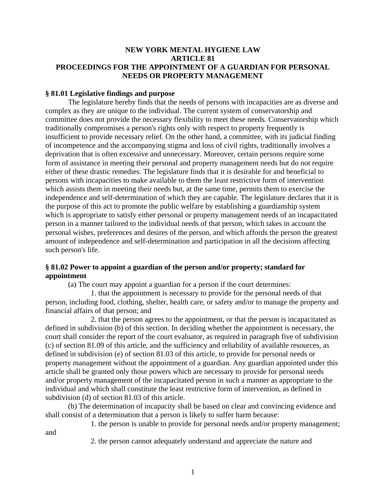## **NEW YORK MENTAL HYGIENE LAW ARTICLE 81 PROCEEDINGS FOR THE APPOINTMENT OF A GUARDIAN FOR PERSONAL NEEDS OR PROPERTY MANAGEMENT**

## **§ 81.01 Legislative findings and purpose**

and

 The legislature hereby finds that the needs of persons with incapacities are as diverse and complex as they are unique to the individual. The current system of conservatorship and committee does not provide the necessary flexibility to meet these needs. Conservatorship which traditionally compromises a person's rights only with respect to property frequently is insufficient to provide necessary relief. On the other hand, a committee, with its judicial finding of incompetence and the accompanying stigma and loss of civil rights, traditionally involves a deprivation that is often excessive and unnecessary. Moreover, certain persons require some form of assistance in meeting their personal and property management needs but do not require either of these drastic remedies. The legislature finds that it is desirable for and beneficial to persons with incapacities to make available to them the least restrictive form of intervention which assists them in meeting their needs but, at the same time, permits them to exercise the independence and self-determination of which they are capable. The legislature declares that it is the purpose of this act to promote the public welfare by establishing a guardianship system which is appropriate to satisfy either personal or property management needs of an incapacitated person in a manner tailored to the individual needs of that person, which takes in account the personal wishes, preferences and desires of the person, and which affords the person the greatest amount of independence and self-determination and participation in all the decisions affecting such person's life.

## **§ 81.02 Power to appoint a guardian of the person and/or property; standard for appointment**

(a) The court may appoint a guardian for a person if the court determines:

 1. that the appointment is necessary to provide for the personal needs of that person, including food, clothing, shelter, health care, or safety and/or to manage the property and financial affairs of that person; and

 2. that the person agrees to the appointment, or that the person is incapacitated as defined in subdivision (b) of this section. In deciding whether the appointment is necessary, the court shall consider the report of the court evaluator, as required in paragraph five of subdivision (c) of section 81.09 of this article, and the sufficiency and reliability of available resources, as defined in subdivision (e) of section 81.03 of this article, to provide for personal needs or property management without the appointment of a guardian. Any guardian appointed under this article shall be granted only those powers which are necessary to provide for personal needs and/or property management of the incapacitated person in such a manner as appropriate to the individual and which shall constitute the least restrictive form of intervention, as defined in subdivision (d) of section 81.03 of this article.

 (b) The determination of incapacity shall be based on clear and convincing evidence and shall consist of a determination that a person is likely to suffer harm because:

1. the person is unable to provide for personal needs and/or property management;

2. the person cannot adequately understand and appreciate the nature and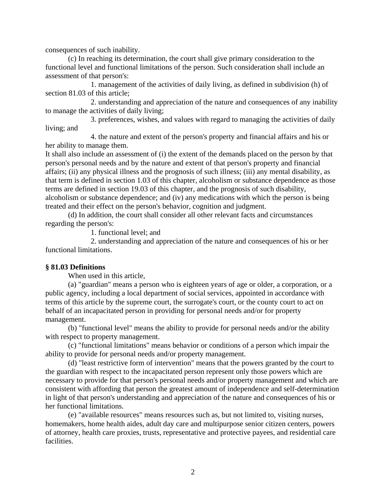consequences of such inability.

 (c) In reaching its determination, the court shall give primary consideration to the functional level and functional limitations of the person. Such consideration shall include an assessment of that person's:

 1. management of the activities of daily living, as defined in subdivision (h) of section 81.03 of this article;

 2. understanding and appreciation of the nature and consequences of any inability to manage the activities of daily living;

 3. preferences, wishes, and values with regard to managing the activities of daily living; and

 4. the nature and extent of the person's property and financial affairs and his or her ability to manage them.

It shall also include an assessment of (i) the extent of the demands placed on the person by that person's personal needs and by the nature and extent of that person's property and financial affairs; (ii) any physical illness and the prognosis of such illness; (iii) any mental disability, as that term is defined in section 1.03 of this chapter, alcoholism or substance dependence as those terms are defined in section 19.03 of this chapter, and the prognosis of such disability, alcoholism or substance dependence; and (iv) any medications with which the person is being treated and their effect on the person's behavior, cognition and judgment.

 (d) In addition, the court shall consider all other relevant facts and circumstances regarding the person's:

1. functional level; and

 2. understanding and appreciation of the nature and consequences of his or her functional limitations.

## **§ 81.03 Definitions**

When used in this article,

 (a) "guardian" means a person who is eighteen years of age or older, a corporation, or a public agency, including a local department of social services, appointed in accordance with terms of this article by the supreme court, the surrogate's court, or the county court to act on behalf of an incapacitated person in providing for personal needs and/or for property management.

 (b) "functional level" means the ability to provide for personal needs and/or the ability with respect to property management.

 (c) "functional limitations" means behavior or conditions of a person which impair the ability to provide for personal needs and/or property management.

 (d) "least restrictive form of intervention" means that the powers granted by the court to the guardian with respect to the incapacitated person represent only those powers which are necessary to provide for that person's personal needs and/or property management and which are consistent with affording that person the greatest amount of independence and self-determination in light of that person's understanding and appreciation of the nature and consequences of his or her functional limitations.

 (e) "available resources" means resources such as, but not limited to, visiting nurses, homemakers, home health aides, adult day care and multipurpose senior citizen centers, powers of attorney, health care proxies, trusts, representative and protective payees, and residential care facilities.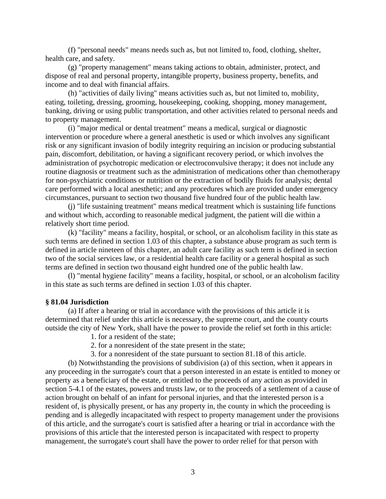(f) "personal needs" means needs such as, but not limited to, food, clothing, shelter, health care, and safety.

 (g) "property management" means taking actions to obtain, administer, protect, and dispose of real and personal property, intangible property, business property, benefits, and income and to deal with financial affairs.

 (h) "activities of daily living" means activities such as, but not limited to, mobility, eating, toileting, dressing, grooming, housekeeping, cooking, shopping, money management, banking, driving or using public transportation, and other activities related to personal needs and to property management.

 (i) "major medical or dental treatment" means a medical, surgical or diagnostic intervention or procedure where a general anesthetic is used or which involves any significant risk or any significant invasion of bodily integrity requiring an incision or producing substantial pain, discomfort, debilitation, or having a significant recovery period, or which involves the administration of psychotropic medication or electroconvulsive therapy; it does not include any routine diagnosis or treatment such as the administration of medications other than chemotherapy for non-psychiatric conditions or nutrition or the extraction of bodily fluids for analysis; dental care performed with a local anesthetic; and any procedures which are provided under emergency circumstances, pursuant to section two thousand five hundred four of the public health law.

 (j) "life sustaining treatment" means medical treatment which is sustaining life functions and without which, according to reasonable medical judgment, the patient will die within a relatively short time period.

 (k) "facility" means a facility, hospital, or school, or an alcoholism facility in this state as such terms are defined in section 1.03 of this chapter, a substance abuse program as such term is defined in article nineteen of this chapter, an adult care facility as such term is defined in section two of the social services law, or a residential health care facility or a general hospital as such terms are defined in section two thousand eight hundred one of the public health law.

 (l) "mental hygiene facility" means a facility, hospital, or school, or an alcoholism facility in this state as such terms are defined in section 1.03 of this chapter.

#### **§ 81.04 Jurisdiction**

 (a) If after a hearing or trial in accordance with the provisions of this article it is determined that relief under this article is necessary, the supreme court, and the county courts outside the city of New York, shall have the power to provide the relief set forth in this article:

- 1. for a resident of the state;
- 2. for a nonresident of the state present in the state;
- 3. for a nonresident of the state pursuant to section 81.18 of this article.

 (b) Notwithstanding the provisions of subdivision (a) of this section, when it appears in any proceeding in the surrogate's court that a person interested in an estate is entitled to money or property as a beneficiary of the estate, or entitled to the proceeds of any action as provided in section 5-4.1 of the estates, powers and trusts law, or to the proceeds of a settlement of a cause of action brought on behalf of an infant for personal injuries, and that the interested person is a resident of, is physically present, or has any property in, the county in which the proceeding is pending and is allegedly incapacitated with respect to property management under the provisions of this article, and the surrogate's court is satisfied after a hearing or trial in accordance with the provisions of this article that the interested person is incapacitated with respect to property management, the surrogate's court shall have the power to order relief for that person with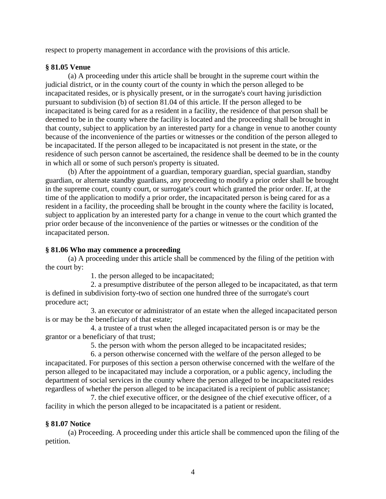respect to property management in accordance with the provisions of this article.

## **§ 81.05 Venue**

 (a) A proceeding under this article shall be brought in the supreme court within the judicial district, or in the county court of the county in which the person alleged to be incapacitated resides, or is physically present, or in the surrogate's court having jurisdiction pursuant to subdivision (b) of section 81.04 of this article. If the person alleged to be incapacitated is being cared for as a resident in a facility, the residence of that person shall be deemed to be in the county where the facility is located and the proceeding shall be brought in that county, subject to application by an interested party for a change in venue to another county because of the inconvenience of the parties or witnesses or the condition of the person alleged to be incapacitated. If the person alleged to be incapacitated is not present in the state, or the residence of such person cannot be ascertained, the residence shall be deemed to be in the county in which all or some of such person's property is situated.

 (b) After the appointment of a guardian, temporary guardian, special guardian, standby guardian, or alternate standby guardians, any proceeding to modify a prior order shall be brought in the supreme court, county court, or surrogate's court which granted the prior order. If, at the time of the application to modify a prior order, the incapacitated person is being cared for as a resident in a facility, the proceeding shall be brought in the county where the facility is located, subject to application by an interested party for a change in venue to the court which granted the prior order because of the inconvenience of the parties or witnesses or the condition of the incapacitated person.

## **§ 81.06 Who may commence a proceeding**

 (a) A proceeding under this article shall be commenced by the filing of the petition with the court by:

1. the person alleged to be incapacitated;

 2. a presumptive distributee of the person alleged to be incapacitated, as that term is defined in subdivision forty-two of section one hundred three of the surrogate's court procedure act;

 3. an executor or administrator of an estate when the alleged incapacitated person is or may be the beneficiary of that estate;

 4. a trustee of a trust when the alleged incapacitated person is or may be the grantor or a beneficiary of that trust;

5. the person with whom the person alleged to be incapacitated resides;

 6. a person otherwise concerned with the welfare of the person alleged to be incapacitated. For purposes of this section a person otherwise concerned with the welfare of the person alleged to be incapacitated may include a corporation, or a public agency, including the department of social services in the county where the person alleged to be incapacitated resides regardless of whether the person alleged to be incapacitated is a recipient of public assistance;

 7. the chief executive officer, or the designee of the chief executive officer, of a facility in which the person alleged to be incapacitated is a patient or resident.

# **§ 81.07 Notice**

 (a) Proceeding. A proceeding under this article shall be commenced upon the filing of the petition.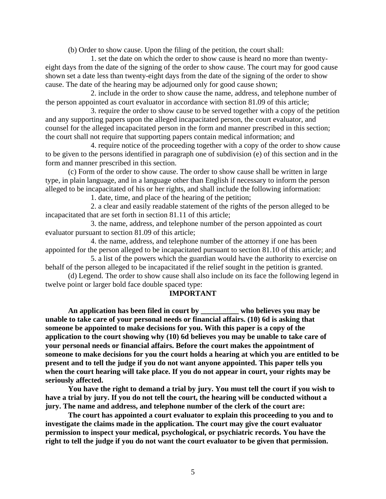(b) Order to show cause. Upon the filing of the petition, the court shall:

 1. set the date on which the order to show cause is heard no more than twentyeight days from the date of the signing of the order to show cause. The court may for good cause shown set a date less than twenty-eight days from the date of the signing of the order to show cause. The date of the hearing may be adjourned only for good cause shown;

 2. include in the order to show cause the name, address, and telephone number of the person appointed as court evaluator in accordance with section 81.09 of this article;

 3. require the order to show cause to be served together with a copy of the petition and any supporting papers upon the alleged incapacitated person, the court evaluator, and counsel for the alleged incapacitated person in the form and manner prescribed in this section; the court shall not require that supporting papers contain medical information; and

 4. require notice of the proceeding together with a copy of the order to show cause to be given to the persons identified in paragraph one of subdivision (e) of this section and in the form and manner prescribed in this section.

 (c) Form of the order to show cause. The order to show cause shall be written in large type, in plain language, and in a language other than English if necessary to inform the person alleged to be incapacitated of his or her rights, and shall include the following information:

1. date, time, and place of the hearing of the petition;

 2. a clear and easily readable statement of the rights of the person alleged to be incapacitated that are set forth in section 81.11 of this article;

 3. the name, address, and telephone number of the person appointed as court evaluator pursuant to section 81.09 of this article;

 4. the name, address, and telephone number of the attorney if one has been appointed for the person alleged to be incapacitated pursuant to section 81.10 of this article; and

 5. a list of the powers which the guardian would have the authority to exercise on behalf of the person alleged to be incapacitated if the relief sought in the petition is granted.

 (d) Legend. The order to show cause shall also include on its face the following legend in twelve point or larger bold face double spaced type:

#### **IMPORTANT**

 **An application has been filed in court by \_\_\_\_\_\_\_\_\_\_ who believes you may be unable to take care of your personal needs or financial affairs. (10) 6d is asking that someone be appointed to make decisions for you. With this paper is a copy of the application to the court showing why (10) 6d believes you may be unable to take care of your personal needs or financial affairs. Before the court makes the appointment of someone to make decisions for you the court holds a hearing at which you are entitled to be present and to tell the judge if you do not want anyone appointed. This paper tells you when the court hearing will take place. If you do not appear in court, your rights may be seriously affected.** 

 **You have the right to demand a trial by jury. You must tell the court if you wish to have a trial by jury. If you do not tell the court, the hearing will be conducted without a jury. The name and address, and telephone number of the clerk of the court are:** 

 **The court has appointed a court evaluator to explain this proceeding to you and to investigate the claims made in the application. The court may give the court evaluator permission to inspect your medical, psychological, or psychiatric records. You have the right to tell the judge if you do not want the court evaluator to be given that permission.**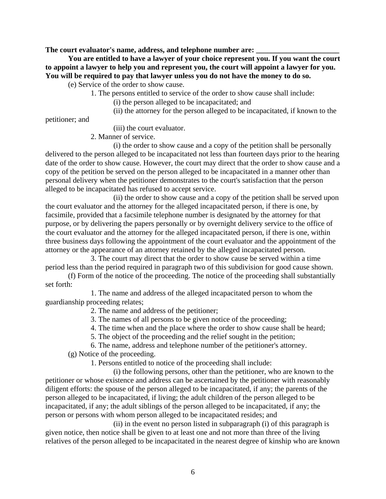The court evaluator's name, address, and telephone number are:

 **You are entitled to have a lawyer of your choice represent you. If you want the court to appoint a lawyer to help you and represent you, the court will appoint a lawyer for you. You will be required to pay that lawyer unless you do not have the money to do so.** 

(e) Service of the order to show cause.

1. The persons entitled to service of the order to show cause shall include:

(i) the person alleged to be incapacitated; and

(ii) the attorney for the person alleged to be incapacitated, if known to the

petitioner; and

(iii) the court evaluator.

2. Manner of service.

 (i) the order to show cause and a copy of the petition shall be personally delivered to the person alleged to be incapacitated not less than fourteen days prior to the hearing date of the order to show cause. However, the court may direct that the order to show cause and a copy of the petition be served on the person alleged to be incapacitated in a manner other than personal delivery when the petitioner demonstrates to the court's satisfaction that the person alleged to be incapacitated has refused to accept service.

 (ii) the order to show cause and a copy of the petition shall be served upon the court evaluator and the attorney for the alleged incapacitated person, if there is one, by facsimile, provided that a facsimile telephone number is designated by the attorney for that purpose, or by delivering the papers personally or by overnight delivery service to the office of the court evaluator and the attorney for the alleged incapacitated person, if there is one, within three business days following the appointment of the court evaluator and the appointment of the attorney or the appearance of an attorney retained by the alleged incapacitated person.

 3. The court may direct that the order to show cause be served within a time period less than the period required in paragraph two of this subdivision for good cause shown.

 (f) Form of the notice of the proceeding. The notice of the proceeding shall substantially set forth:

 1. The name and address of the alleged incapacitated person to whom the guardianship proceeding relates;

2. The name and address of the petitioner;

- 3. The names of all persons to be given notice of the proceeding;
- 4. The time when and the place where the order to show cause shall be heard;
- 5. The object of the proceeding and the relief sought in the petition;
- 6. The name, address and telephone number of the petitioner's attorney.

(g) Notice of the proceeding.

1. Persons entitled to notice of the proceeding shall include:

 (i) the following persons, other than the petitioner, who are known to the petitioner or whose existence and address can be ascertained by the petitioner with reasonably diligent efforts: the spouse of the person alleged to be incapacitated, if any; the parents of the person alleged to be incapacitated, if living; the adult children of the person alleged to be incapacitated, if any; the adult siblings of the person alleged to be incapacitated, if any; the person or persons with whom person alleged to be incapacitated resides; and

 (ii) in the event no person listed in subparagraph (i) of this paragraph is given notice, then notice shall be given to at least one and not more than three of the living relatives of the person alleged to be incapacitated in the nearest degree of kinship who are known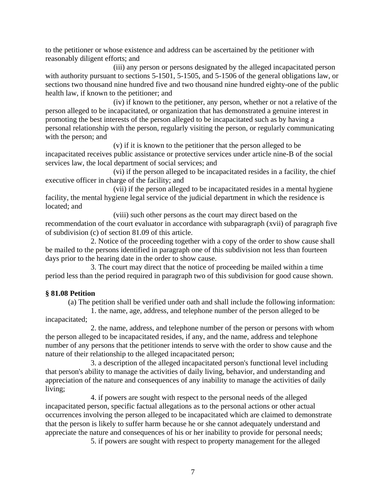to the petitioner or whose existence and address can be ascertained by the petitioner with reasonably diligent efforts; and

 (iii) any person or persons designated by the alleged incapacitated person with authority pursuant to sections 5-1501, 5-1505, and 5-1506 of the general obligations law, or sections two thousand nine hundred five and two thousand nine hundred eighty-one of the public health law, if known to the petitioner; and

 (iv) if known to the petitioner, any person, whether or not a relative of the person alleged to be incapacitated, or organization that has demonstrated a genuine interest in promoting the best interests of the person alleged to be incapacitated such as by having a personal relationship with the person, regularly visiting the person, or regularly communicating with the person; and

 (v) if it is known to the petitioner that the person alleged to be incapacitated receives public assistance or protective services under article nine-B of the social services law, the local department of social services; and

 (vi) if the person alleged to be incapacitated resides in a facility, the chief executive officer in charge of the facility; and

 (vii) if the person alleged to be incapacitated resides in a mental hygiene facility, the mental hygiene legal service of the judicial department in which the residence is located; and

 (viii) such other persons as the court may direct based on the recommendation of the court evaluator in accordance with subparagraph (xvii) of paragraph five of subdivision (c) of section 81.09 of this article.

 2. Notice of the proceeding together with a copy of the order to show cause shall be mailed to the persons identified in paragraph one of this subdivision not less than fourteen days prior to the hearing date in the order to show cause.

 3. The court may direct that the notice of proceeding be mailed within a time period less than the period required in paragraph two of this subdivision for good cause shown.

# **§ 81.08 Petition**

(a) The petition shall be verified under oath and shall include the following information:

 1. the name, age, address, and telephone number of the person alleged to be incapacitated;

 2. the name, address, and telephone number of the person or persons with whom the person alleged to be incapacitated resides, if any, and the name, address and telephone number of any persons that the petitioner intends to serve with the order to show cause and the nature of their relationship to the alleged incapacitated person;

 3. a description of the alleged incapacitated person's functional level including that person's ability to manage the activities of daily living, behavior, and understanding and appreciation of the nature and consequences of any inability to manage the activities of daily living;

 4. if powers are sought with respect to the personal needs of the alleged incapacitated person, specific factual allegations as to the personal actions or other actual occurrences involving the person alleged to be incapacitated which are claimed to demonstrate that the person is likely to suffer harm because he or she cannot adequately understand and appreciate the nature and consequences of his or her inability to provide for personal needs;

5. if powers are sought with respect to property management for the alleged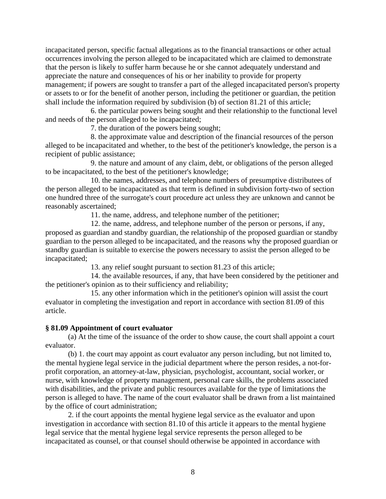incapacitated person, specific factual allegations as to the financial transactions or other actual occurrences involving the person alleged to be incapacitated which are claimed to demonstrate that the person is likely to suffer harm because he or she cannot adequately understand and appreciate the nature and consequences of his or her inability to provide for property management; if powers are sought to transfer a part of the alleged incapacitated person's property or assets to or for the benefit of another person, including the petitioner or guardian, the petition shall include the information required by subdivision (b) of section 81.21 of this article;

 6. the particular powers being sought and their relationship to the functional level and needs of the person alleged to be incapacitated;

7. the duration of the powers being sought;

 8. the approximate value and description of the financial resources of the person alleged to be incapacitated and whether, to the best of the petitioner's knowledge, the person is a recipient of public assistance;

 9. the nature and amount of any claim, debt, or obligations of the person alleged to be incapacitated, to the best of the petitioner's knowledge;

 10. the names, addresses, and telephone numbers of presumptive distributees of the person alleged to be incapacitated as that term is defined in subdivision forty-two of section one hundred three of the surrogate's court procedure act unless they are unknown and cannot be reasonably ascertained;

11. the name, address, and telephone number of the petitioner;

 12. the name, address, and telephone number of the person or persons, if any, proposed as guardian and standby guardian, the relationship of the proposed guardian or standby guardian to the person alleged to be incapacitated, and the reasons why the proposed guardian or standby guardian is suitable to exercise the powers necessary to assist the person alleged to be incapacitated;

13. any relief sought pursuant to section 81.23 of this article;

 14. the available resources, if any, that have been considered by the petitioner and the petitioner's opinion as to their sufficiency and reliability;

 15. any other information which in the petitioner's opinion will assist the court evaluator in completing the investigation and report in accordance with section 81.09 of this article.

## **§ 81.09 Appointment of court evaluator**

 (a) At the time of the issuance of the order to show cause, the court shall appoint a court evaluator.

 (b) 1. the court may appoint as court evaluator any person including, but not limited to, the mental hygiene legal service in the judicial department where the person resides, a not-forprofit corporation, an attorney-at-law, physician, psychologist, accountant, social worker, or nurse, with knowledge of property management, personal care skills, the problems associated with disabilities, and the private and public resources available for the type of limitations the person is alleged to have. The name of the court evaluator shall be drawn from a list maintained by the office of court administration;

 2. if the court appoints the mental hygiene legal service as the evaluator and upon investigation in accordance with section 81.10 of this article it appears to the mental hygiene legal service that the mental hygiene legal service represents the person alleged to be incapacitated as counsel, or that counsel should otherwise be appointed in accordance with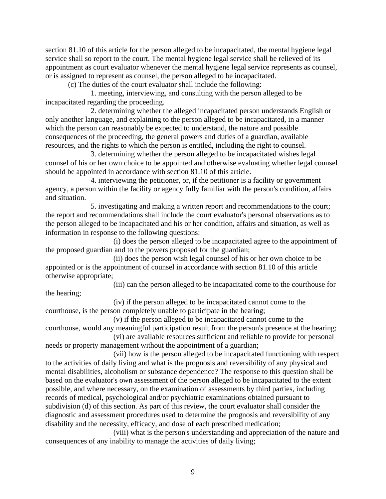section 81.10 of this article for the person alleged to be incapacitated, the mental hygiene legal service shall so report to the court. The mental hygiene legal service shall be relieved of its appointment as court evaluator whenever the mental hygiene legal service represents as counsel, or is assigned to represent as counsel, the person alleged to be incapacitated.

(c) The duties of the court evaluator shall include the following:

 1. meeting, interviewing, and consulting with the person alleged to be incapacitated regarding the proceeding.

 2. determining whether the alleged incapacitated person understands English or only another language, and explaining to the person alleged to be incapacitated, in a manner which the person can reasonably be expected to understand, the nature and possible consequences of the proceeding, the general powers and duties of a guardian, available resources, and the rights to which the person is entitled, including the right to counsel.

 3. determining whether the person alleged to be incapacitated wishes legal counsel of his or her own choice to be appointed and otherwise evaluating whether legal counsel should be appointed in accordance with section 81.10 of this article.

 4. interviewing the petitioner, or, if the petitioner is a facility or government agency, a person within the facility or agency fully familiar with the person's condition, affairs and situation.

 5. investigating and making a written report and recommendations to the court; the report and recommendations shall include the court evaluator's personal observations as to the person alleged to be incapacitated and his or her condition, affairs and situation, as well as information in response to the following questions:

 (i) does the person alleged to be incapacitated agree to the appointment of the proposed guardian and to the powers proposed for the guardian;

 (ii) does the person wish legal counsel of his or her own choice to be appointed or is the appointment of counsel in accordance with section 81.10 of this article otherwise appropriate;

(iii) can the person alleged to be incapacitated come to the courthouse for

the hearing;

 (iv) if the person alleged to be incapacitated cannot come to the courthouse, is the person completely unable to participate in the hearing;

 (v) if the person alleged to be incapacitated cannot come to the courthouse, would any meaningful participation result from the person's presence at the hearing;

 (vi) are available resources sufficient and reliable to provide for personal needs or property management without the appointment of a guardian;

 (vii) how is the person alleged to be incapacitated functioning with respect to the activities of daily living and what is the prognosis and reversibility of any physical and mental disabilities, alcoholism or substance dependence? The response to this question shall be based on the evaluator's own assessment of the person alleged to be incapacitated to the extent possible, and where necessary, on the examination of assessments by third parties, including records of medical, psychological and/or psychiatric examinations obtained pursuant to subdivision (d) of this section. As part of this review, the court evaluator shall consider the diagnostic and assessment procedures used to determine the prognosis and reversibility of any disability and the necessity, efficacy, and dose of each prescribed medication;

 (viii) what is the person's understanding and appreciation of the nature and consequences of any inability to manage the activities of daily living;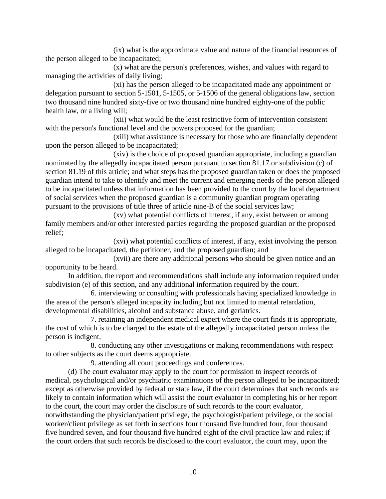(ix) what is the approximate value and nature of the financial resources of the person alleged to be incapacitated;

 (x) what are the person's preferences, wishes, and values with regard to managing the activities of daily living;

 (xi) has the person alleged to be incapacitated made any appointment or delegation pursuant to section 5-1501, 5-1505, or 5-1506 of the general obligations law, section two thousand nine hundred sixty-five or two thousand nine hundred eighty-one of the public health law, or a living will;

 (xii) what would be the least restrictive form of intervention consistent with the person's functional level and the powers proposed for the guardian;

 (xiii) what assistance is necessary for those who are financially dependent upon the person alleged to be incapacitated;

 (xiv) is the choice of proposed guardian appropriate, including a guardian nominated by the allegedly incapacitated person pursuant to section 81.17 or subdivision (c) of section 81.19 of this article; and what steps has the proposed guardian taken or does the proposed guardian intend to take to identify and meet the current and emerging needs of the person alleged to be incapacitated unless that information has been provided to the court by the local department of social services when the proposed guardian is a community guardian program operating pursuant to the provisions of title three of article nine-B of the social services law;

 (xv) what potential conflicts of interest, if any, exist between or among family members and/or other interested parties regarding the proposed guardian or the proposed relief;

 (xvi) what potential conflicts of interest, if any, exist involving the person alleged to be incapacitated, the petitioner, and the proposed guardian; and

 (xvii) are there any additional persons who should be given notice and an opportunity to be heard.

 In addition, the report and recommendations shall include any information required under subdivision (e) of this section, and any additional information required by the court.

 6. interviewing or consulting with professionals having specialized knowledge in the area of the person's alleged incapacity including but not limited to mental retardation, developmental disabilities, alcohol and substance abuse, and geriatrics.

 7. retaining an independent medical expert where the court finds it is appropriate, the cost of which is to be charged to the estate of the allegedly incapacitated person unless the person is indigent.

 8. conducting any other investigations or making recommendations with respect to other subjects as the court deems appropriate.

9. attending all court proceedings and conferences.

 (d) The court evaluator may apply to the court for permission to inspect records of medical, psychological and/or psychiatric examinations of the person alleged to be incapacitated; except as otherwise provided by federal or state law, if the court determines that such records are likely to contain information which will assist the court evaluator in completing his or her report to the court, the court may order the disclosure of such records to the court evaluator, notwithstanding the physician/patient privilege, the psychologist/patient privilege, or the social worker/client privilege as set forth in sections four thousand five hundred four, four thousand five hundred seven, and four thousand five hundred eight of the civil practice law and rules; if the court orders that such records be disclosed to the court evaluator, the court may, upon the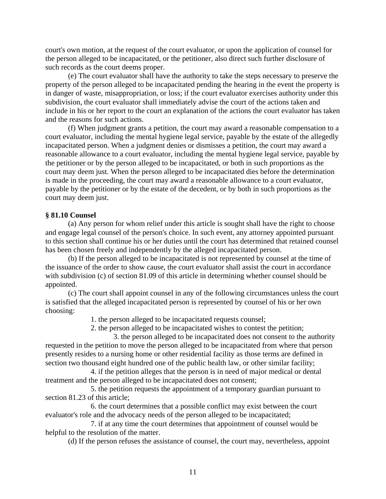court's own motion, at the request of the court evaluator, or upon the application of counsel for the person alleged to be incapacitated, or the petitioner, also direct such further disclosure of such records as the court deems proper.

 (e) The court evaluator shall have the authority to take the steps necessary to preserve the property of the person alleged to be incapacitated pending the hearing in the event the property is in danger of waste, misappropriation, or loss; if the court evaluator exercises authority under this subdivision, the court evaluator shall immediately advise the court of the actions taken and include in his or her report to the court an explanation of the actions the court evaluator has taken and the reasons for such actions.

 (f) When judgment grants a petition, the court may award a reasonable compensation to a court evaluator, including the mental hygiene legal service, payable by the estate of the allegedly incapacitated person. When a judgment denies or dismisses a petition, the court may award a reasonable allowance to a court evaluator, including the mental hygiene legal service, payable by the petitioner or by the person alleged to be incapacitated, or both in such proportions as the court may deem just. When the person alleged to be incapacitated dies before the determination is made in the proceeding, the court may award a reasonable allowance to a court evaluator, payable by the petitioner or by the estate of the decedent, or by both in such proportions as the court may deem just.

### **§ 81.10 Counsel**

 (a) Any person for whom relief under this article is sought shall have the right to choose and engage legal counsel of the person's choice. In such event, any attorney appointed pursuant to this section shall continue his or her duties until the court has determined that retained counsel has been chosen freely and independently by the alleged incapacitated person.

 (b) If the person alleged to be incapacitated is not represented by counsel at the time of the issuance of the order to show cause, the court evaluator shall assist the court in accordance with subdivision (c) of section 81.09 of this article in determining whether counsel should be appointed.

 (c) The court shall appoint counsel in any of the following circumstances unless the court is satisfied that the alleged incapacitated person is represented by counsel of his or her own choosing:

1. the person alleged to be incapacitated requests counsel;

2. the person alleged to be incapacitated wishes to contest the petition;

 3. the person alleged to be incapacitated does not consent to the authority requested in the petition to move the person alleged to be incapacitated from where that person presently resides to a nursing home or other residential facility as those terms are defined in section two thousand eight hundred one of the public health law, or other similar facility;

 4. if the petition alleges that the person is in need of major medical or dental treatment and the person alleged to be incapacitated does not consent;

 5. the petition requests the appointment of a temporary guardian pursuant to section 81.23 of this article;

 6. the court determines that a possible conflict may exist between the court evaluator's role and the advocacy needs of the person alleged to be incapacitated;

 7. if at any time the court determines that appointment of counsel would be helpful to the resolution of the matter.

(d) If the person refuses the assistance of counsel, the court may, nevertheless, appoint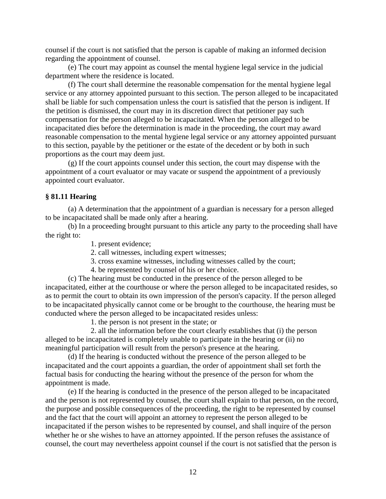counsel if the court is not satisfied that the person is capable of making an informed decision regarding the appointment of counsel.

 (e) The court may appoint as counsel the mental hygiene legal service in the judicial department where the residence is located.

 (f) The court shall determine the reasonable compensation for the mental hygiene legal service or any attorney appointed pursuant to this section. The person alleged to be incapacitated shall be liable for such compensation unless the court is satisfied that the person is indigent. If the petition is dismissed, the court may in its discretion direct that petitioner pay such compensation for the person alleged to be incapacitated. When the person alleged to be incapacitated dies before the determination is made in the proceeding, the court may award reasonable compensation to the mental hygiene legal service or any attorney appointed pursuant to this section, payable by the petitioner or the estate of the decedent or by both in such proportions as the court may deem just.

 (g) If the court appoints counsel under this section, the court may dispense with the appointment of a court evaluator or may vacate or suspend the appointment of a previously appointed court evaluator.

#### **§ 81.11 Hearing**

 (a) A determination that the appointment of a guardian is necessary for a person alleged to be incapacitated shall be made only after a hearing.

 (b) In a proceeding brought pursuant to this article any party to the proceeding shall have the right to:

- 1. present evidence;
- 2. call witnesses, including expert witnesses;
- 3. cross examine witnesses, including witnesses called by the court;
- 4. be represented by counsel of his or her choice.

 (c) The hearing must be conducted in the presence of the person alleged to be incapacitated, either at the courthouse or where the person alleged to be incapacitated resides, so as to permit the court to obtain its own impression of the person's capacity. If the person alleged to be incapacitated physically cannot come or be brought to the courthouse, the hearing must be conducted where the person alleged to be incapacitated resides unless:

1. the person is not present in the state; or

 2. all the information before the court clearly establishes that (i) the person alleged to be incapacitated is completely unable to participate in the hearing or (ii) no meaningful participation will result from the person's presence at the hearing.

 (d) If the hearing is conducted without the presence of the person alleged to be incapacitated and the court appoints a guardian, the order of appointment shall set forth the factual basis for conducting the hearing without the presence of the person for whom the appointment is made.

 (e) If the hearing is conducted in the presence of the person alleged to be incapacitated and the person is not represented by counsel, the court shall explain to that person, on the record, the purpose and possible consequences of the proceeding, the right to be represented by counsel and the fact that the court will appoint an attorney to represent the person alleged to be incapacitated if the person wishes to be represented by counsel, and shall inquire of the person whether he or she wishes to have an attorney appointed. If the person refuses the assistance of counsel, the court may nevertheless appoint counsel if the court is not satisfied that the person is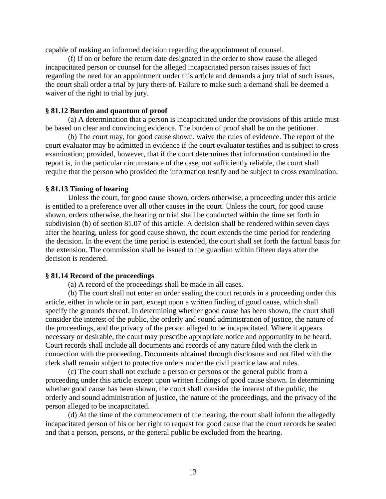capable of making an informed decision regarding the appointment of counsel.

 (f) If on or before the return date designated in the order to show cause the alleged incapacitated person or counsel for the alleged incapacitated person raises issues of fact regarding the need for an appointment under this article and demands a jury trial of such issues, the court shall order a trial by jury there-of. Failure to make such a demand shall be deemed a waiver of the right to trial by jury.

### **§ 81.12 Burden and quantum of proof**

 (a) A determination that a person is incapacitated under the provisions of this article must be based on clear and convincing evidence. The burden of proof shall be on the petitioner.

 (b) The court may, for good cause shown, waive the rules of evidence. The report of the court evaluator may be admitted in evidence if the court evaluator testifies and is subject to cross examination; provided, however, that if the court determines that information contained in the report is, in the particular circumstance of the case, not sufficiently reliable, the court shall require that the person who provided the information testify and be subject to cross examination.

#### **§ 81.13 Timing of hearing**

 Unless the court, for good cause shown, orders otherwise, a proceeding under this article is entitled to a preference over all other causes in the court. Unless the court, for good cause shown, orders otherwise, the hearing or trial shall be conducted within the time set forth in subdivision (b) of section 81.07 of this article. A decision shall be rendered within seven days after the hearing, unless for good cause shown, the court extends the time period for rendering the decision. In the event the time period is extended, the court shall set forth the factual basis for the extension. The commission shall be issued to the guardian within fifteen days after the decision is rendered.

#### **§ 81.14 Record of the proceedings**

(a) A record of the proceedings shall be made in all cases.

 (b) The court shall not enter an order sealing the court records in a proceeding under this article, either in whole or in part, except upon a written finding of good cause, which shall specify the grounds thereof. In determining whether good cause has been shown, the court shall consider the interest of the public, the orderly and sound administration of justice, the nature of the proceedings, and the privacy of the person alleged to be incapacitated. Where it appears necessary or desirable, the court may prescribe appropriate notice and opportunity to be heard. Court records shall include all documents and records of any nature filed with the clerk in connection with the proceeding. Documents obtained through disclosure and not filed with the clerk shall remain subject to protective orders under the civil practice law and rules.

 (c) The court shall not exclude a person or persons or the general public from a proceeding under this article except upon written findings of good cause shown. In determining whether good cause has been shown, the court shall consider the interest of the public, the orderly and sound administration of justice, the nature of the proceedings, and the privacy of the person alleged to be incapacitated.

 (d) At the time of the commencement of the hearing, the court shall inform the allegedly incapacitated person of his or her right to request for good cause that the court records be sealed and that a person, persons, or the general public be excluded from the hearing.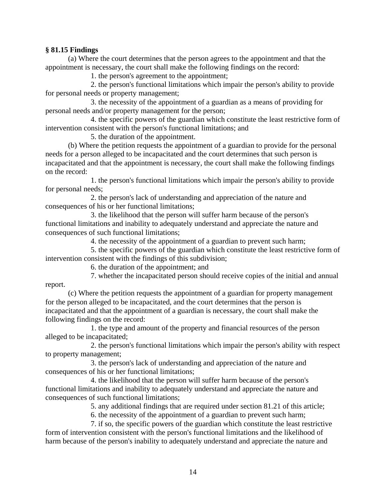## **§ 81.15 Findings**

 (a) Where the court determines that the person agrees to the appointment and that the appointment is necessary, the court shall make the following findings on the record:

1. the person's agreement to the appointment;

 2. the person's functional limitations which impair the person's ability to provide for personal needs or property management;

 3. the necessity of the appointment of a guardian as a means of providing for personal needs and/or property management for the person;

 4. the specific powers of the guardian which constitute the least restrictive form of intervention consistent with the person's functional limitations; and

5. the duration of the appointment.

 (b) Where the petition requests the appointment of a guardian to provide for the personal needs for a person alleged to be incapacitated and the court determines that such person is incapacitated and that the appointment is necessary, the court shall make the following findings on the record:

 1. the person's functional limitations which impair the person's ability to provide for personal needs;

 2. the person's lack of understanding and appreciation of the nature and consequences of his or her functional limitations;

 3. the likelihood that the person will suffer harm because of the person's functional limitations and inability to adequately understand and appreciate the nature and consequences of such functional limitations;

4. the necessity of the appointment of a guardian to prevent such harm;

 5. the specific powers of the guardian which constitute the least restrictive form of intervention consistent with the findings of this subdivision;

6. the duration of the appointment; and

 7. whether the incapacitated person should receive copies of the initial and annual report.

 (c) Where the petition requests the appointment of a guardian for property management for the person alleged to be incapacitated, and the court determines that the person is incapacitated and that the appointment of a guardian is necessary, the court shall make the following findings on the record:

 1. the type and amount of the property and financial resources of the person alleged to be incapacitated;

 2. the person's functional limitations which impair the person's ability with respect to property management;

 3. the person's lack of understanding and appreciation of the nature and consequences of his or her functional limitations;

 4. the likelihood that the person will suffer harm because of the person's functional limitations and inability to adequately understand and appreciate the nature and consequences of such functional limitations;

5. any additional findings that are required under section 81.21 of this article;

6. the necessity of the appointment of a guardian to prevent such harm;

 7. if so, the specific powers of the guardian which constitute the least restrictive form of intervention consistent with the person's functional limitations and the likelihood of harm because of the person's inability to adequately understand and appreciate the nature and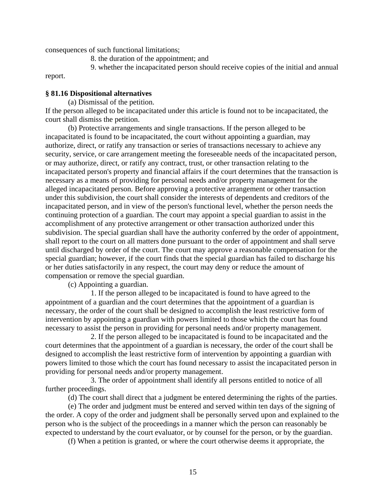consequences of such functional limitations;

8. the duration of the appointment; and

9. whether the incapacitated person should receive copies of the initial and annual

report.

## **§ 81.16 Dispositional alternatives**

(a) Dismissal of the petition.

If the person alleged to be incapacitated under this article is found not to be incapacitated, the court shall dismiss the petition.

 (b) Protective arrangements and single transactions. If the person alleged to be incapacitated is found to be incapacitated, the court without appointing a guardian, may authorize, direct, or ratify any transaction or series of transactions necessary to achieve any security, service, or care arrangement meeting the foreseeable needs of the incapacitated person, or may authorize, direct, or ratify any contract, trust, or other transaction relating to the incapacitated person's property and financial affairs if the court determines that the transaction is necessary as a means of providing for personal needs and/or property management for the alleged incapacitated person. Before approving a protective arrangement or other transaction under this subdivision, the court shall consider the interests of dependents and creditors of the incapacitated person, and in view of the person's functional level, whether the person needs the continuing protection of a guardian. The court may appoint a special guardian to assist in the accomplishment of any protective arrangement or other transaction authorized under this subdivision. The special guardian shall have the authority conferred by the order of appointment, shall report to the court on all matters done pursuant to the order of appointment and shall serve until discharged by order of the court. The court may approve a reasonable compensation for the special guardian; however, if the court finds that the special guardian has failed to discharge his or her duties satisfactorily in any respect, the court may deny or reduce the amount of compensation or remove the special guardian.

(c) Appointing a guardian.

 1. If the person alleged to be incapacitated is found to have agreed to the appointment of a guardian and the court determines that the appointment of a guardian is necessary, the order of the court shall be designed to accomplish the least restrictive form of intervention by appointing a guardian with powers limited to those which the court has found necessary to assist the person in providing for personal needs and/or property management.

 2. If the person alleged to be incapacitated is found to be incapacitated and the court determines that the appointment of a guardian is necessary, the order of the court shall be designed to accomplish the least restrictive form of intervention by appointing a guardian with powers limited to those which the court has found necessary to assist the incapacitated person in providing for personal needs and/or property management.

 3. The order of appointment shall identify all persons entitled to notice of all further proceedings.

(d) The court shall direct that a judgment be entered determining the rights of the parties.

 (e) The order and judgment must be entered and served within ten days of the signing of the order. A copy of the order and judgment shall be personally served upon and explained to the person who is the subject of the proceedings in a manner which the person can reasonably be expected to understand by the court evaluator, or by counsel for the person, or by the guardian.

(f) When a petition is granted, or where the court otherwise deems it appropriate, the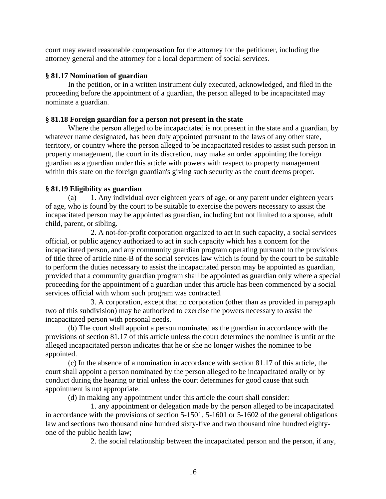court may award reasonable compensation for the attorney for the petitioner, including the attorney general and the attorney for a local department of social services.

## **§ 81.17 Nomination of guardian**

 In the petition, or in a written instrument duly executed, acknowledged, and filed in the proceeding before the appointment of a guardian, the person alleged to be incapacitated may nominate a guardian.

## **§ 81.18 Foreign guardian for a person not present in the state**

 Where the person alleged to be incapacitated is not present in the state and a guardian, by whatever name designated, has been duly appointed pursuant to the laws of any other state, territory, or country where the person alleged to be incapacitated resides to assist such person in property management, the court in its discretion, may make an order appointing the foreign guardian as a guardian under this article with powers with respect to property management within this state on the foreign guardian's giving such security as the court deems proper.

## **§ 81.19 Eligibility as guardian**

 (a) 1. Any individual over eighteen years of age, or any parent under eighteen years of age, who is found by the court to be suitable to exercise the powers necessary to assist the incapacitated person may be appointed as guardian, including but not limited to a spouse, adult child, parent, or sibling.

 2. A not-for-profit corporation organized to act in such capacity, a social services official, or public agency authorized to act in such capacity which has a concern for the incapacitated person, and any community guardian program operating pursuant to the provisions of title three of article nine-B of the social services law which is found by the court to be suitable to perform the duties necessary to assist the incapacitated person may be appointed as guardian, provided that a community guardian program shall be appointed as guardian only where a special proceeding for the appointment of a guardian under this article has been commenced by a social services official with whom such program was contracted.

 3. A corporation, except that no corporation (other than as provided in paragraph two of this subdivision) may be authorized to exercise the powers necessary to assist the incapacitated person with personal needs.

 (b) The court shall appoint a person nominated as the guardian in accordance with the provisions of section 81.17 of this article unless the court determines the nominee is unfit or the alleged incapacitated person indicates that he or she no longer wishes the nominee to be appointed.

 (c) In the absence of a nomination in accordance with section 81.17 of this article, the court shall appoint a person nominated by the person alleged to be incapacitated orally or by conduct during the hearing or trial unless the court determines for good cause that such appointment is not appropriate.

(d) In making any appointment under this article the court shall consider:

 1. any appointment or delegation made by the person alleged to be incapacitated in accordance with the provisions of section 5-1501, 5-1601 or 5-1602 of the general obligations law and sections two thousand nine hundred sixty-five and two thousand nine hundred eightyone of the public health law;

2. the social relationship between the incapacitated person and the person, if any,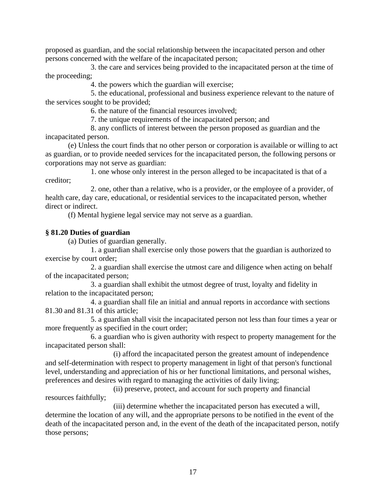proposed as guardian, and the social relationship between the incapacitated person and other persons concerned with the welfare of the incapacitated person;

 3. the care and services being provided to the incapacitated person at the time of the proceeding;

4. the powers which the guardian will exercise;

 5. the educational, professional and business experience relevant to the nature of the services sought to be provided;

6. the nature of the financial resources involved;

7. the unique requirements of the incapacitated person; and

 8. any conflicts of interest between the person proposed as guardian and the incapacitated person.

 (e) Unless the court finds that no other person or corporation is available or willing to act as guardian, or to provide needed services for the incapacitated person, the following persons or corporations may not serve as guardian:

 1. one whose only interest in the person alleged to be incapacitated is that of a creditor;

 2. one, other than a relative, who is a provider, or the employee of a provider, of health care, day care, educational, or residential services to the incapacitated person, whether direct or indirect.

(f) Mental hygiene legal service may not serve as a guardian.

# **§ 81.20 Duties of guardian**

(a) Duties of guardian generally.

 1. a guardian shall exercise only those powers that the guardian is authorized to exercise by court order;

 2. a guardian shall exercise the utmost care and diligence when acting on behalf of the incapacitated person;

 3. a guardian shall exhibit the utmost degree of trust, loyalty and fidelity in relation to the incapacitated person;

 4. a guardian shall file an initial and annual reports in accordance with sections 81.30 and 81.31 of this article;

 5. a guardian shall visit the incapacitated person not less than four times a year or more frequently as specified in the court order;

 6. a guardian who is given authority with respect to property management for the incapacitated person shall:

 (i) afford the incapacitated person the greatest amount of independence and self-determination with respect to property management in light of that person's functional level, understanding and appreciation of his or her functional limitations, and personal wishes, preferences and desires with regard to managing the activities of daily living;

 (ii) preserve, protect, and account for such property and financial resources faithfully;

 (iii) determine whether the incapacitated person has executed a will, determine the location of any will, and the appropriate persons to be notified in the event of the death of the incapacitated person and, in the event of the death of the incapacitated person, notify those persons;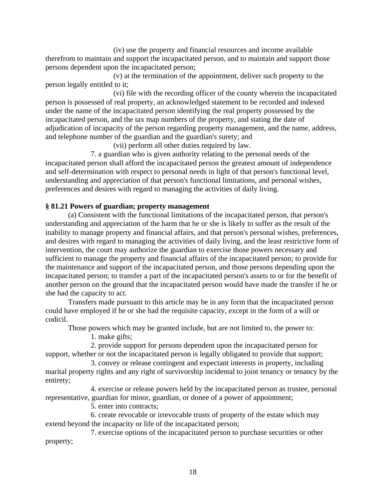(iv) use the property and financial resources and income available therefrom to maintain and support the incapacitated person, and to maintain and support those persons dependent upon the incapacitated person;

 (v) at the termination of the appointment, deliver such property to the person legally entitled to it;

 (vi) file with the recording officer of the county wherein the incapacitated person is possessed of real property, an acknowledged statement to be recorded and indexed under the name of the incapacitated person identifying the real property possessed by the incapacitated person, and the tax map numbers of the property, and stating the date of adjudication of incapacity of the person regarding property management, and the name, address, and telephone number of the guardian and the guardian's surety; and

(vii) perform all other duties required by law.

 7. a guardian who is given authority relating to the personal needs of the incapacitated person shall afford the incapacitated person the greatest amount of independence and self-determination with respect to personal needs in light of that person's functional level, understanding and appreciation of that person's functional limitations, and personal wishes, preferences and desires with regard to managing the activities of daily living.

# **§ 81.21 Powers of guardian; property management**

 (a) Consistent with the functional limitations of the incapacitated person, that person's understanding and appreciation of the harm that he or she is likely to suffer as the result of the inability to manage property and financial affairs, and that person's personal wishes, preferences, and desires with regard to managing the activities of daily living, and the least restrictive form of intervention, the court may authorize the guardian to exercise those powers necessary and sufficient to manage the property and financial affairs of the incapacitated person; to provide for the maintenance and support of the incapacitated person, and those persons depending upon the incapacitated person; to transfer a part of the incapacitated person's assets to or for the benefit of another person on the ground that the incapacitated person would have made the transfer if he or she had the capacity to act.

 Transfers made pursuant to this article may be in any form that the incapacitated person could have employed if he or she had the requisite capacity, except in the form of a will or codicil.

Those powers which may be granted include, but are not limited to, the power to:

1. make gifts;

 2. provide support for persons dependent upon the incapacitated person for support, whether or not the incapacitated person is legally obligated to provide that support;

 3. convey or release contingent and expectant interests in property, including marital property rights and any right of survivorship incidental to joint tenancy or tenancy by the entirety;

 4. exercise or release powers held by the incapacitated person as trustee, personal representative, guardian for minor, guardian, or donee of a power of appointment;

5. enter into contracts;

 6. create revocable or irrevocable trusts of property of the estate which may extend beyond the incapacity or life of the incapacitated person;

 7. exercise options of the incapacitated person to purchase securities or other property;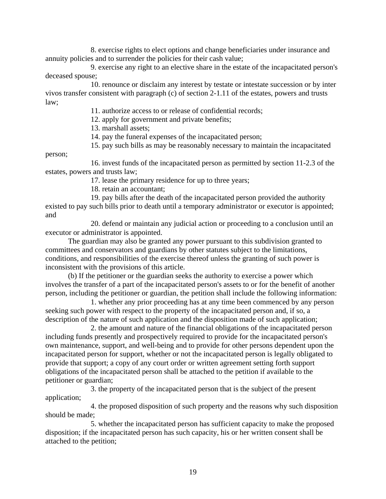8. exercise rights to elect options and change beneficiaries under insurance and annuity policies and to surrender the policies for their cash value;

 9. exercise any right to an elective share in the estate of the incapacitated person's deceased spouse;

 10. renounce or disclaim any interest by testate or intestate succession or by inter vivos transfer consistent with paragraph (c) of section 2-1.11 of the estates, powers and trusts law;

11. authorize access to or release of confidential records;

12. apply for government and private benefits;

13. marshall assets;

14. pay the funeral expenses of the incapacitated person;

15. pay such bills as may be reasonably necessary to maintain the incapacitated

person;

 16. invest funds of the incapacitated person as permitted by section 11-2.3 of the estates, powers and trusts law;

17. lease the primary residence for up to three years;

18. retain an accountant;

 19. pay bills after the death of the incapacitated person provided the authority existed to pay such bills prior to death until a temporary administrator or executor is appointed; and

 20. defend or maintain any judicial action or proceeding to a conclusion until an executor or administrator is appointed.

 The guardian may also be granted any power pursuant to this subdivision granted to committees and conservators and guardians by other statutes subject to the limitations, conditions, and responsibilities of the exercise thereof unless the granting of such power is inconsistent with the provisions of this article.

 (b) If the petitioner or the guardian seeks the authority to exercise a power which involves the transfer of a part of the incapacitated person's assets to or for the benefit of another person, including the petitioner or guardian, the petition shall include the following information:

 1. whether any prior proceeding has at any time been commenced by any person seeking such power with respect to the property of the incapacitated person and, if so, a description of the nature of such application and the disposition made of such application;

 2. the amount and nature of the financial obligations of the incapacitated person including funds presently and prospectively required to provide for the incapacitated person's own maintenance, support, and well-being and to provide for other persons dependent upon the incapacitated person for support, whether or not the incapacitated person is legally obligated to provide that support; a copy of any court order or written agreement setting forth support obligations of the incapacitated person shall be attached to the petition if available to the petitioner or guardian;

 3. the property of the incapacitated person that is the subject of the present application;

 4. the proposed disposition of such property and the reasons why such disposition should be made;

 5. whether the incapacitated person has sufficient capacity to make the proposed disposition; if the incapacitated person has such capacity, his or her written consent shall be attached to the petition;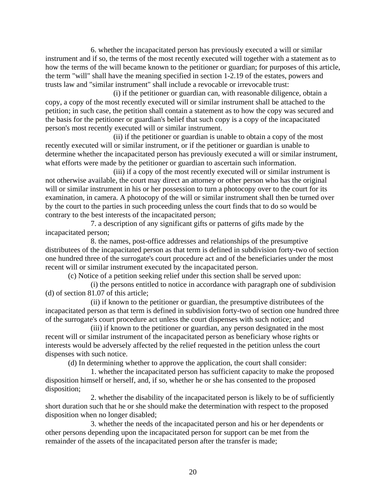6. whether the incapacitated person has previously executed a will or similar instrument and if so, the terms of the most recently executed will together with a statement as to how the terms of the will became known to the petitioner or guardian; for purposes of this article, the term "will" shall have the meaning specified in section 1-2.19 of the estates, powers and trusts law and "similar instrument" shall include a revocable or irrevocable trust:

 (i) if the petitioner or guardian can, with reasonable diligence, obtain a copy, a copy of the most recently executed will or similar instrument shall be attached to the petition; in such case, the petition shall contain a statement as to how the copy was secured and the basis for the petitioner or guardian's belief that such copy is a copy of the incapacitated person's most recently executed will or similar instrument.

 (ii) if the petitioner or guardian is unable to obtain a copy of the most recently executed will or similar instrument, or if the petitioner or guardian is unable to determine whether the incapacitated person has previously executed a will or similar instrument, what efforts were made by the petitioner or guardian to ascertain such information.

 (iii) if a copy of the most recently executed will or similar instrument is not otherwise available, the court may direct an attorney or other person who has the original will or similar instrument in his or her possession to turn a photocopy over to the court for its examination, in camera. A photocopy of the will or similar instrument shall then be turned over by the court to the parties in such proceeding unless the court finds that to do so would be contrary to the best interests of the incapacitated person;

 7. a description of any significant gifts or patterns of gifts made by the incapacitated person;

 8. the names, post-office addresses and relationships of the presumptive distributees of the incapacitated person as that term is defined in subdivision forty-two of section one hundred three of the surrogate's court procedure act and of the beneficiaries under the most recent will or similar instrument executed by the incapacitated person.

(c) Notice of a petition seeking relief under this section shall be served upon:

 (i) the persons entitled to notice in accordance with paragraph one of subdivision (d) of section 81.07 of this article;

 (ii) if known to the petitioner or guardian, the presumptive distributees of the incapacitated person as that term is defined in subdivision forty-two of section one hundred three of the surrogate's court procedure act unless the court dispenses with such notice; and

 (iii) if known to the petitioner or guardian, any person designated in the most recent will or similar instrument of the incapacitated person as beneficiary whose rights or interests would be adversely affected by the relief requested in the petition unless the court dispenses with such notice.

(d) In determining whether to approve the application, the court shall consider:

 1. whether the incapacitated person has sufficient capacity to make the proposed disposition himself or herself, and, if so, whether he or she has consented to the proposed disposition;

 2. whether the disability of the incapacitated person is likely to be of sufficiently short duration such that he or she should make the determination with respect to the proposed disposition when no longer disabled;

 3. whether the needs of the incapacitated person and his or her dependents or other persons depending upon the incapacitated person for support can be met from the remainder of the assets of the incapacitated person after the transfer is made;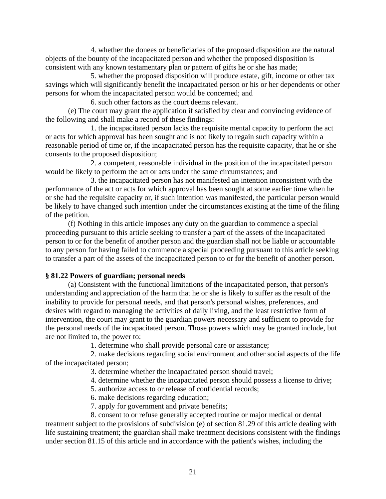4. whether the donees or beneficiaries of the proposed disposition are the natural objects of the bounty of the incapacitated person and whether the proposed disposition is consistent with any known testamentary plan or pattern of gifts he or she has made;

 5. whether the proposed disposition will produce estate, gift, income or other tax savings which will significantly benefit the incapacitated person or his or her dependents or other persons for whom the incapacitated person would be concerned; and

6. such other factors as the court deems relevant.

 (e) The court may grant the application if satisfied by clear and convincing evidence of the following and shall make a record of these findings:

 1. the incapacitated person lacks the requisite mental capacity to perform the act or acts for which approval has been sought and is not likely to regain such capacity within a reasonable period of time or, if the incapacitated person has the requisite capacity, that he or she consents to the proposed disposition;

 2. a competent, reasonable individual in the position of the incapacitated person would be likely to perform the act or acts under the same circumstances; and

 3. the incapacitated person has not manifested an intention inconsistent with the performance of the act or acts for which approval has been sought at some earlier time when he or she had the requisite capacity or, if such intention was manifested, the particular person would be likely to have changed such intention under the circumstances existing at the time of the filing of the petition.

 (f) Nothing in this article imposes any duty on the guardian to commence a special proceeding pursuant to this article seeking to transfer a part of the assets of the incapacitated person to or for the benefit of another person and the guardian shall not be liable or accountable to any person for having failed to commence a special proceeding pursuant to this article seeking to transfer a part of the assets of the incapacitated person to or for the benefit of another person.

# **§ 81.22 Powers of guardian; personal needs**

 (a) Consistent with the functional limitations of the incapacitated person, that person's understanding and appreciation of the harm that he or she is likely to suffer as the result of the inability to provide for personal needs, and that person's personal wishes, preferences, and desires with regard to managing the activities of daily living, and the least restrictive form of intervention, the court may grant to the guardian powers necessary and sufficient to provide for the personal needs of the incapacitated person. Those powers which may be granted include, but are not limited to, the power to:

1. determine who shall provide personal care or assistance;

 2. make decisions regarding social environment and other social aspects of the life of the incapacitated person;

3. determine whether the incapacitated person should travel;

4. determine whether the incapacitated person should possess a license to drive;

5. authorize access to or release of confidential records;

6. make decisions regarding education;

7. apply for government and private benefits;

 8. consent to or refuse generally accepted routine or major medical or dental treatment subject to the provisions of subdivision (e) of section 81.29 of this article dealing with life sustaining treatment; the guardian shall make treatment decisions consistent with the findings under section 81.15 of this article and in accordance with the patient's wishes, including the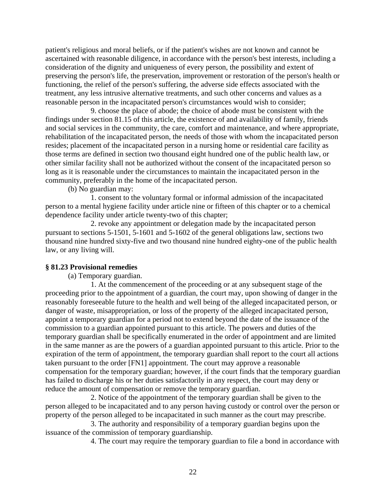patient's religious and moral beliefs, or if the patient's wishes are not known and cannot be ascertained with reasonable diligence, in accordance with the person's best interests, including a consideration of the dignity and uniqueness of every person, the possibility and extent of preserving the person's life, the preservation, improvement or restoration of the person's health or functioning, the relief of the person's suffering, the adverse side effects associated with the treatment, any less intrusive alternative treatments, and such other concerns and values as a reasonable person in the incapacitated person's circumstances would wish to consider;

 9. choose the place of abode; the choice of abode must be consistent with the findings under section 81.15 of this article, the existence of and availability of family, friends and social services in the community, the care, comfort and maintenance, and where appropriate, rehabilitation of the incapacitated person, the needs of those with whom the incapacitated person resides; placement of the incapacitated person in a nursing home or residential care facility as those terms are defined in section two thousand eight hundred one of the public health law, or other similar facility shall not be authorized without the consent of the incapacitated person so long as it is reasonable under the circumstances to maintain the incapacitated person in the community, preferably in the home of the incapacitated person.

(b) No guardian may:

 1. consent to the voluntary formal or informal admission of the incapacitated person to a mental hygiene facility under article nine or fifteen of this chapter or to a chemical dependence facility under article twenty-two of this chapter;

 2. revoke any appointment or delegation made by the incapacitated person pursuant to sections 5-1501, 5-1601 and 5-1602 of the general obligations law, sections two thousand nine hundred sixty-five and two thousand nine hundred eighty-one of the public health law, or any living will.

## **§ 81.23 Provisional remedies**

(a) Temporary guardian.

 1. At the commencement of the proceeding or at any subsequent stage of the proceeding prior to the appointment of a guardian, the court may, upon showing of danger in the reasonably foreseeable future to the health and well being of the alleged incapacitated person, or danger of waste, misappropriation, or loss of the property of the alleged incapacitated person, appoint a temporary guardian for a period not to extend beyond the date of the issuance of the commission to a guardian appointed pursuant to this article. The powers and duties of the temporary guardian shall be specifically enumerated in the order of appointment and are limited in the same manner as are the powers of a guardian appointed pursuant to this article. Prior to the expiration of the term of appointment, the temporary guardian shall report to the court all actions taken pursuant to the order [FN1] appointment. The court may approve a reasonable compensation for the temporary guardian; however, if the court finds that the temporary guardian has failed to discharge his or her duties satisfactorily in any respect, the court may deny or reduce the amount of compensation or remove the temporary guardian.

 2. Notice of the appointment of the temporary guardian shall be given to the person alleged to be incapacitated and to any person having custody or control over the person or property of the person alleged to be incapacitated in such manner as the court may prescribe.

 3. The authority and responsibility of a temporary guardian begins upon the issuance of the commission of temporary guardianship.

4. The court may require the temporary guardian to file a bond in accordance with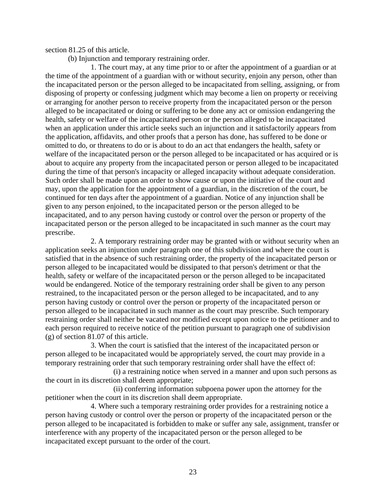section 81.25 of this article.

(b) Injunction and temporary restraining order.

 1. The court may, at any time prior to or after the appointment of a guardian or at the time of the appointment of a guardian with or without security, enjoin any person, other than the incapacitated person or the person alleged to be incapacitated from selling, assigning, or from disposing of property or confessing judgment which may become a lien on property or receiving or arranging for another person to receive property from the incapacitated person or the person alleged to be incapacitated or doing or suffering to be done any act or omission endangering the health, safety or welfare of the incapacitated person or the person alleged to be incapacitated when an application under this article seeks such an injunction and it satisfactorily appears from the application, affidavits, and other proofs that a person has done, has suffered to be done or omitted to do, or threatens to do or is about to do an act that endangers the health, safety or welfare of the incapacitated person or the person alleged to be incapacitated or has acquired or is about to acquire any property from the incapacitated person or person alleged to be incapacitated during the time of that person's incapacity or alleged incapacity without adequate consideration. Such order shall be made upon an order to show cause or upon the initiative of the court and may, upon the application for the appointment of a guardian, in the discretion of the court, be continued for ten days after the appointment of a guardian. Notice of any injunction shall be given to any person enjoined, to the incapacitated person or the person alleged to be incapacitated, and to any person having custody or control over the person or property of the incapacitated person or the person alleged to be incapacitated in such manner as the court may prescribe.

 2. A temporary restraining order may be granted with or without security when an application seeks an injunction under paragraph one of this subdivision and where the court is satisfied that in the absence of such restraining order, the property of the incapacitated person or person alleged to be incapacitated would be dissipated to that person's detriment or that the health, safety or welfare of the incapacitated person or the person alleged to be incapacitated would be endangered. Notice of the temporary restraining order shall be given to any person restrained, to the incapacitated person or the person alleged to be incapacitated, and to any person having custody or control over the person or property of the incapacitated person or person alleged to be incapacitated in such manner as the court may prescribe. Such temporary restraining order shall neither be vacated nor modified except upon notice to the petitioner and to each person required to receive notice of the petition pursuant to paragraph one of subdivision (g) of section 81.07 of this article.

 3. When the court is satisfied that the interest of the incapacitated person or person alleged to be incapacitated would be appropriately served, the court may provide in a temporary restraining order that such temporary restraining order shall have the effect of:

 (i) a restraining notice when served in a manner and upon such persons as the court in its discretion shall deem appropriate;

 (ii) conferring information subpoena power upon the attorney for the petitioner when the court in its discretion shall deem appropriate.

 4. Where such a temporary restraining order provides for a restraining notice a person having custody or control over the person or property of the incapacitated person or the person alleged to be incapacitated is forbidden to make or suffer any sale, assignment, transfer or interference with any property of the incapacitated person or the person alleged to be incapacitated except pursuant to the order of the court.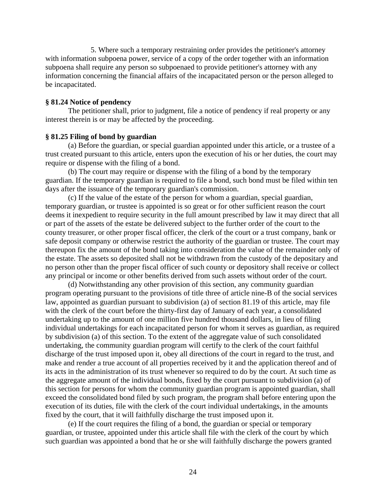5. Where such a temporary restraining order provides the petitioner's attorney with information subpoena power, service of a copy of the order together with an information subpoena shall require any person so subpoenaed to provide petitioner's attorney with any information concerning the financial affairs of the incapacitated person or the person alleged to be incapacitated.

#### **§ 81.24 Notice of pendency**

 The petitioner shall, prior to judgment, file a notice of pendency if real property or any interest therein is or may be affected by the proceeding.

#### **§ 81.25 Filing of bond by guardian**

 (a) Before the guardian, or special guardian appointed under this article, or a trustee of a trust created pursuant to this article, enters upon the execution of his or her duties, the court may require or dispense with the filing of a bond.

 (b) The court may require or dispense with the filing of a bond by the temporary guardian. If the temporary guardian is required to file a bond, such bond must be filed within ten days after the issuance of the temporary guardian's commission.

 (c) If the value of the estate of the person for whom a guardian, special guardian, temporary guardian, or trustee is appointed is so great or for other sufficient reason the court deems it inexpedient to require security in the full amount prescribed by law it may direct that all or part of the assets of the estate be delivered subject to the further order of the court to the county treasurer, or other proper fiscal officer, the clerk of the court or a trust company, bank or safe deposit company or otherwise restrict the authority of the guardian or trustee. The court may thereupon fix the amount of the bond taking into consideration the value of the remainder only of the estate. The assets so deposited shall not be withdrawn from the custody of the depositary and no person other than the proper fiscal officer of such county or depository shall receive or collect any principal or income or other benefits derived from such assets without order of the court.

 (d) Notwithstanding any other provision of this section, any community guardian program operating pursuant to the provisions of title three of article nine-B of the social services law, appointed as guardian pursuant to subdivision (a) of section 81.19 of this article, may file with the clerk of the court before the thirty-first day of January of each year, a consolidated undertaking up to the amount of one million five hundred thousand dollars, in lieu of filing individual undertakings for each incapacitated person for whom it serves as guardian, as required by subdivision (a) of this section. To the extent of the aggregate value of such consolidated undertaking, the community guardian program will certify to the clerk of the court faithful discharge of the trust imposed upon it, obey all directions of the court in regard to the trust, and make and render a true account of all properties received by it and the application thereof and of its acts in the administration of its trust whenever so required to do by the court. At such time as the aggregate amount of the individual bonds, fixed by the court pursuant to subdivision (a) of this section for persons for whom the community guardian program is appointed guardian, shall exceed the consolidated bond filed by such program, the program shall before entering upon the execution of its duties, file with the clerk of the court individual undertakings, in the amounts fixed by the court, that it will faithfully discharge the trust imposed upon it.

 (e) If the court requires the filing of a bond, the guardian or special or temporary guardian, or trustee, appointed under this article shall file with the clerk of the court by which such guardian was appointed a bond that he or she will faithfully discharge the powers granted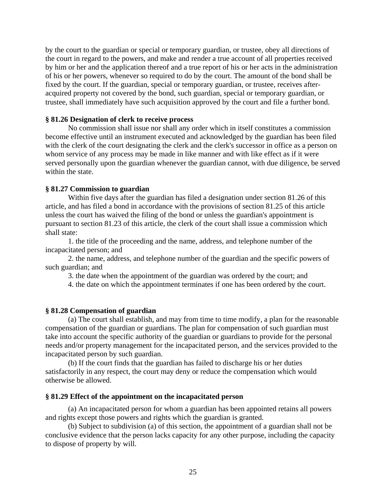by the court to the guardian or special or temporary guardian, or trustee, obey all directions of the court in regard to the powers, and make and render a true account of all properties received by him or her and the application thereof and a true report of his or her acts in the administration of his or her powers, whenever so required to do by the court. The amount of the bond shall be fixed by the court. If the guardian, special or temporary guardian, or trustee, receives afteracquired property not covered by the bond, such guardian, special or temporary guardian, or trustee, shall immediately have such acquisition approved by the court and file a further bond.

### **§ 81.26 Designation of clerk to receive process**

 No commission shall issue nor shall any order which in itself constitutes a commission become effective until an instrument executed and acknowledged by the guardian has been filed with the clerk of the court designating the clerk and the clerk's successor in office as a person on whom service of any process may be made in like manner and with like effect as if it were served personally upon the guardian whenever the guardian cannot, with due diligence, be served within the state.

### **§ 81.27 Commission to guardian**

 Within five days after the guardian has filed a designation under section 81.26 of this article, and has filed a bond in accordance with the provisions of section 81.25 of this article unless the court has waived the filing of the bond or unless the guardian's appointment is pursuant to section 81.23 of this article, the clerk of the court shall issue a commission which shall state:

 1. the title of the proceeding and the name, address, and telephone number of the incapacitated person; and

 2. the name, address, and telephone number of the guardian and the specific powers of such guardian; and

3. the date when the appointment of the guardian was ordered by the court; and

4. the date on which the appointment terminates if one has been ordered by the court.

#### **§ 81.28 Compensation of guardian**

 (a) The court shall establish, and may from time to time modify, a plan for the reasonable compensation of the guardian or guardians. The plan for compensation of such guardian must take into account the specific authority of the guardian or guardians to provide for the personal needs and/or property management for the incapacitated person, and the services provided to the incapacitated person by such guardian.

 (b) If the court finds that the guardian has failed to discharge his or her duties satisfactorily in any respect, the court may deny or reduce the compensation which would otherwise be allowed.

#### **§ 81.29 Effect of the appointment on the incapacitated person**

 (a) An incapacitated person for whom a guardian has been appointed retains all powers and rights except those powers and rights which the guardian is granted.

 (b) Subject to subdivision (a) of this section, the appointment of a guardian shall not be conclusive evidence that the person lacks capacity for any other purpose, including the capacity to dispose of property by will.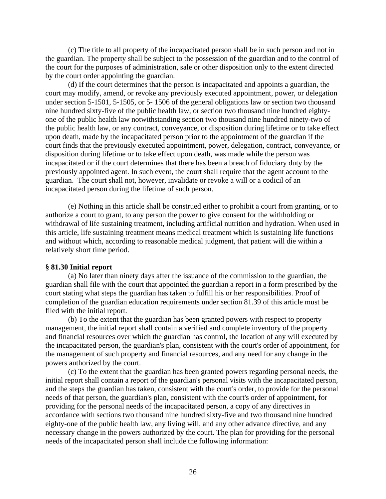(c) The title to all property of the incapacitated person shall be in such person and not in the guardian. The property shall be subject to the possession of the guardian and to the control of the court for the purposes of administration, sale or other disposition only to the extent directed by the court order appointing the guardian.

 (d) If the court determines that the person is incapacitated and appoints a guardian, the court may modify, amend, or revoke any previously executed appointment, power, or delegation under section 5-1501, 5-1505, or 5- 1506 of the general obligations law or section two thousand nine hundred sixty-five of the public health law, or section two thousand nine hundred eightyone of the public health law notwithstanding section two thousand nine hundred ninety-two of the public health law, or any contract, conveyance, or disposition during lifetime or to take effect upon death, made by the incapacitated person prior to the appointment of the guardian if the court finds that the previously executed appointment, power, delegation, contract, conveyance, or disposition during lifetime or to take effect upon death, was made while the person was incapacitated or if the court determines that there has been a breach of fiduciary duty by the previously appointed agent. In such event, the court shall require that the agent account to the guardian. The court shall not, however, invalidate or revoke a will or a codicil of an incapacitated person during the lifetime of such person.

 (e) Nothing in this article shall be construed either to prohibit a court from granting, or to authorize a court to grant, to any person the power to give consent for the withholding or withdrawal of life sustaining treatment, including artificial nutrition and hydration. When used in this article, life sustaining treatment means medical treatment which is sustaining life functions and without which, according to reasonable medical judgment, that patient will die within a relatively short time period.

### **§ 81.30 Initial report**

 (a) No later than ninety days after the issuance of the commission to the guardian, the guardian shall file with the court that appointed the guardian a report in a form prescribed by the court stating what steps the guardian has taken to fulfill his or her responsibilities. Proof of completion of the guardian education requirements under section 81.39 of this article must be filed with the initial report.

 (b) To the extent that the guardian has been granted powers with respect to property management, the initial report shall contain a verified and complete inventory of the property and financial resources over which the guardian has control, the location of any will executed by the incapacitated person, the guardian's plan, consistent with the court's order of appointment, for the management of such property and financial resources, and any need for any change in the powers authorized by the court.

 (c) To the extent that the guardian has been granted powers regarding personal needs, the initial report shall contain a report of the guardian's personal visits with the incapacitated person, and the steps the guardian has taken, consistent with the court's order, to provide for the personal needs of that person, the guardian's plan, consistent with the court's order of appointment, for providing for the personal needs of the incapacitated person, a copy of any directives in accordance with sections two thousand nine hundred sixty-five and two thousand nine hundred eighty-one of the public health law, any living will, and any other advance directive, and any necessary change in the powers authorized by the court. The plan for providing for the personal needs of the incapacitated person shall include the following information: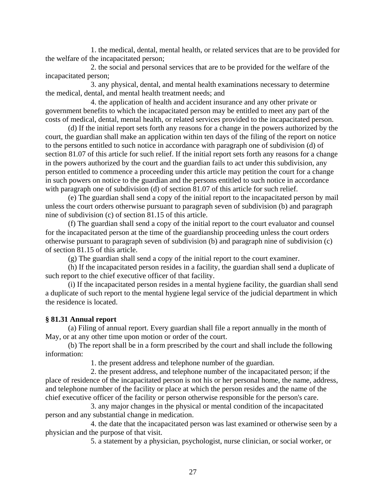1. the medical, dental, mental health, or related services that are to be provided for the welfare of the incapacitated person;

 2. the social and personal services that are to be provided for the welfare of the incapacitated person;

 3. any physical, dental, and mental health examinations necessary to determine the medical, dental, and mental health treatment needs; and

 4. the application of health and accident insurance and any other private or government benefits to which the incapacitated person may be entitled to meet any part of the costs of medical, dental, mental health, or related services provided to the incapacitated person.

 (d) If the initial report sets forth any reasons for a change in the powers authorized by the court, the guardian shall make an application within ten days of the filing of the report on notice to the persons entitled to such notice in accordance with paragraph one of subdivision (d) of section 81.07 of this article for such relief. If the initial report sets forth any reasons for a change in the powers authorized by the court and the guardian fails to act under this subdivision, any person entitled to commence a proceeding under this article may petition the court for a change in such powers on notice to the guardian and the persons entitled to such notice in accordance with paragraph one of subdivision (d) of section 81.07 of this article for such relief.

 (e) The guardian shall send a copy of the initial report to the incapacitated person by mail unless the court orders otherwise pursuant to paragraph seven of subdivision (b) and paragraph nine of subdivision (c) of section 81.15 of this article.

 (f) The guardian shall send a copy of the initial report to the court evaluator and counsel for the incapacitated person at the time of the guardianship proceeding unless the court orders otherwise pursuant to paragraph seven of subdivision (b) and paragraph nine of subdivision (c) of section 81.15 of this article.

(g) The guardian shall send a copy of the initial report to the court examiner.

 (h) If the incapacitated person resides in a facility, the guardian shall send a duplicate of such report to the chief executive officer of that facility.

 (i) If the incapacitated person resides in a mental hygiene facility, the guardian shall send a duplicate of such report to the mental hygiene legal service of the judicial department in which the residence is located.

#### **§ 81.31 Annual report**

(a) Filing of annual report. Every guardian shall file a report annually in the month of May, or at any other time upon motion or order of the court.

 (b) The report shall be in a form prescribed by the court and shall include the following information:

1. the present address and telephone number of the guardian.

 2. the present address, and telephone number of the incapacitated person; if the place of residence of the incapacitated person is not his or her personal home, the name, address, and telephone number of the facility or place at which the person resides and the name of the chief executive officer of the facility or person otherwise responsible for the person's care.

 3. any major changes in the physical or mental condition of the incapacitated person and any substantial change in medication.

 4. the date that the incapacitated person was last examined or otherwise seen by a physician and the purpose of that visit.

5. a statement by a physician, psychologist, nurse clinician, or social worker, or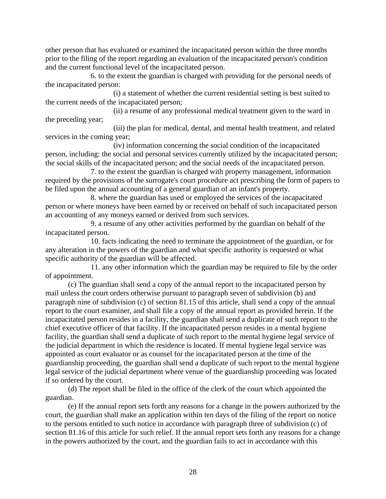other person that has evaluated or examined the incapacitated person within the three months prior to the filing of the report regarding an evaluation of the incapacitated person's condition and the current functional level of the incapacitated person.

 6. to the extent the guardian is charged with providing for the personal needs of the incapacitated person:

 (i) a statement of whether the current residential setting is best suited to the current needs of the incapacitated person;

 (ii) a resume of any professional medical treatment given to the ward in the preceding year;

 (iii) the plan for medical, dental, and mental health treatment, and related services in the coming year;

 (iv) information concerning the social condition of the incapacitated person, including: the social and personal services currently utilized by the incapacitated person; the social skills of the incapacitated person; and the social needs of the incapacitated person.

 7. to the extent the guardian is charged with property management, information required by the provisions of the surrogate's court procedure act prescribing the form of papers to be filed upon the annual accounting of a general guardian of an infant's property.

 8. where the guardian has used or employed the services of the incapacitated person or where moneys have been earned by or received on behalf of such incapacitated person an accounting of any moneys earned or derived from such services.

 9. a resume of any other activities performed by the guardian on behalf of the incapacitated person.

 10. facts indicating the need to terminate the appointment of the guardian, or for any alteration in the powers of the guardian and what specific authority is requested or what specific authority of the guardian will be affected.

 11. any other information which the guardian may be required to file by the order of appointment.

 (c) The guardian shall send a copy of the annual report to the incapacitated person by mail unless the court orders otherwise pursuant to paragraph seven of subdivision (b) and paragraph nine of subdivision (c) of section 81.15 of this article, shall send a copy of the annual report to the court examiner, and shall file a copy of the annual report as provided herein. If the incapacitated person resides in a facility, the guardian shall send a duplicate of such report to the chief executive officer of that facility. If the incapacitated person resides in a mental hygiene facility, the guardian shall send a duplicate of such report to the mental hygiene legal service of the judicial department in which the residence is located. If mental hygiene legal service was appointed as court evaluator or as counsel for the incapacitated person at the time of the guardianship proceeding, the guardian shall send a duplicate of such report to the mental hygiene legal service of the judicial department where venue of the guardianship proceeding was located if so ordered by the court.

 (d) The report shall be filed in the office of the clerk of the court which appointed the guardian.

 (e) If the annual report sets forth any reasons for a change in the powers authorized by the court, the guardian shall make an application within ten days of the filing of the report on notice to the persons entitled to such notice in accordance with paragraph three of subdivision (c) of section 81.16 of this article for such relief. If the annual report sets forth any reasons for a change in the powers authorized by the court, and the guardian fails to act in accordance with this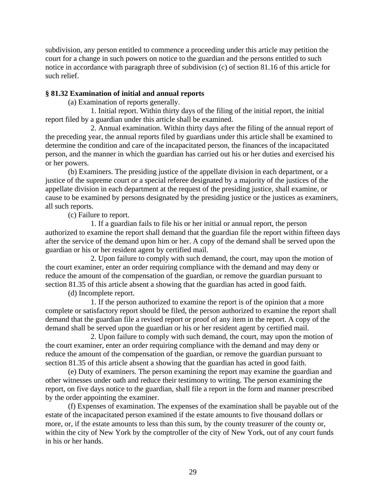subdivision, any person entitled to commence a proceeding under this article may petition the court for a change in such powers on notice to the guardian and the persons entitled to such notice in accordance with paragraph three of subdivision (c) of section 81.16 of this article for such relief.

# **§ 81.32 Examination of initial and annual reports**

(a) Examination of reports generally.

 1. Initial report. Within thirty days of the filing of the initial report, the initial report filed by a guardian under this article shall be examined.

 2. Annual examination. Within thirty days after the filing of the annual report of the preceding year, the annual reports filed by guardians under this article shall be examined to determine the condition and care of the incapacitated person, the finances of the incapacitated person, and the manner in which the guardian has carried out his or her duties and exercised his or her powers.

 (b) Examiners. The presiding justice of the appellate division in each department, or a justice of the supreme court or a special referee designated by a majority of the justices of the appellate division in each department at the request of the presiding justice, shall examine, or cause to be examined by persons designated by the presiding justice or the justices as examiners, all such reports.

(c) Failure to report.

 1. If a guardian fails to file his or her initial or annual report, the person authorized to examine the report shall demand that the guardian file the report within fifteen days after the service of the demand upon him or her. A copy of the demand shall be served upon the guardian or his or her resident agent by certified mail.

 2. Upon failure to comply with such demand, the court, may upon the motion of the court examiner, enter an order requiring compliance with the demand and may deny or reduce the amount of the compensation of the guardian, or remove the guardian pursuant to section 81.35 of this article absent a showing that the guardian has acted in good faith.

(d) Incomplete report.

 1. If the person authorized to examine the report is of the opinion that a more complete or satisfactory report should be filed, the person authorized to examine the report shall demand that the guardian file a revised report or proof of any item in the report. A copy of the demand shall be served upon the guardian or his or her resident agent by certified mail.

 2. Upon failure to comply with such demand, the court, may upon the motion of the court examiner, enter an order requiring compliance with the demand and may deny or reduce the amount of the compensation of the guardian, or remove the guardian pursuant to section 81.35 of this article absent a showing that the guardian has acted in good faith.

 (e) Duty of examiners. The person examining the report may examine the guardian and other witnesses under oath and reduce their testimony to writing. The person examining the report, on five days notice to the guardian, shall file a report in the form and manner prescribed by the order appointing the examiner.

 (f) Expenses of examination. The expenses of the examination shall be payable out of the estate of the incapacitated person examined if the estate amounts to five thousand dollars or more, or, if the estate amounts to less than this sum, by the county treasurer of the county or, within the city of New York by the comptroller of the city of New York, out of any court funds in his or her hands.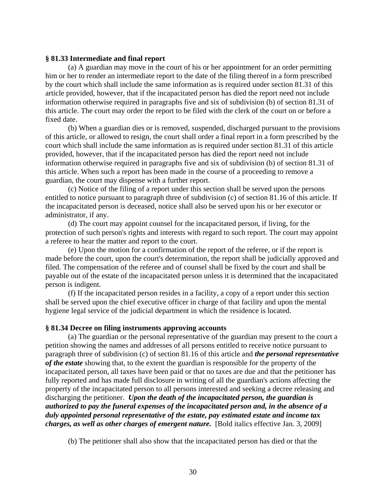#### **§ 81.33 Intermediate and final report**

 (a) A guardian may move in the court of his or her appointment for an order permitting him or her to render an intermediate report to the date of the filing thereof in a form prescribed by the court which shall include the same information as is required under section 81.31 of this article provided, however, that if the incapacitated person has died the report need not include information otherwise required in paragraphs five and six of subdivision (b) of section 81.31 of this article. The court may order the report to be filed with the clerk of the court on or before a fixed date.

 (b) When a guardian dies or is removed, suspended, discharged pursuant to the provisions of this article, or allowed to resign, the court shall order a final report in a form prescribed by the court which shall include the same information as is required under section 81.31 of this article provided, however, that if the incapacitated person has died the report need not include information otherwise required in paragraphs five and six of subdivision (b) of section 81.31 of this article. When such a report has been made in the course of a proceeding to remove a guardian, the court may dispense with a further report.

 (c) Notice of the filing of a report under this section shall be served upon the persons entitled to notice pursuant to paragraph three of subdivision (c) of section 81.16 of this article. If the incapacitated person is deceased, notice shall also be served upon his or her executor or administrator, if any.

 (d) The court may appoint counsel for the incapacitated person, if living, for the protection of such person's rights and interests with regard to such report. The court may appoint a referee to hear the matter and report to the court.

 (e) Upon the motion for a confirmation of the report of the referee, or if the report is made before the court, upon the court's determination, the report shall be judicially approved and filed. The compensation of the referee and of counsel shall be fixed by the court and shall be payable out of the estate of the incapacitated person unless it is determined that the incapacitated person is indigent.

 (f) If the incapacitated person resides in a facility, a copy of a report under this section shall be served upon the chief executive officer in charge of that facility and upon the mental hygiene legal service of the judicial department in which the residence is located.

#### **§ 81.34 Decree on filing instruments approving accounts**

 (a) The guardian or the personal representative of the guardian may present to the court a petition showing the names and addresses of all persons entitled to receive notice pursuant to paragraph three of subdivision (c) of section 81.16 of this article and *the personal representative of the estate* showing that, to the extent the guardian is responsible for the property of the incapacitated person, all taxes have been paid or that no taxes are due and that the petitioner has fully reported and has made full disclosure in writing of all the guardian's actions affecting the property of the incapacitated person to all persons interested and seeking a decree releasing and discharging the petitioner. *Upon the death of the incapacitated person, the guardian is authorized to pay the funeral expenses of the incapacitated person and, in the absence of a duly appointed personal representative of the estate, pay estimated estate and income tax charges, as well as other charges of emergent nature.* [Bold italics effective Jan. 3, 2009]

(b) The petitioner shall also show that the incapacitated person has died or that the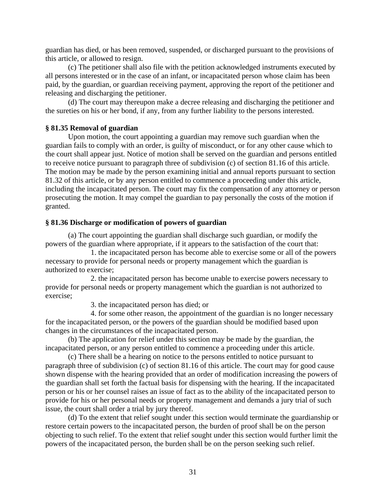guardian has died, or has been removed, suspended, or discharged pursuant to the provisions of this article, or allowed to resign.

 (c) The petitioner shall also file with the petition acknowledged instruments executed by all persons interested or in the case of an infant, or incapacitated person whose claim has been paid, by the guardian, or guardian receiving payment, approving the report of the petitioner and releasing and discharging the petitioner.

 (d) The court may thereupon make a decree releasing and discharging the petitioner and the sureties on his or her bond, if any, from any further liability to the persons interested.

## **§ 81.35 Removal of guardian**

 Upon motion, the court appointing a guardian may remove such guardian when the guardian fails to comply with an order, is guilty of misconduct, or for any other cause which to the court shall appear just. Notice of motion shall be served on the guardian and persons entitled to receive notice pursuant to paragraph three of subdivision (c) of section 81.16 of this article. The motion may be made by the person examining initial and annual reports pursuant to section 81.32 of this article, or by any person entitled to commence a proceeding under this article, including the incapacitated person. The court may fix the compensation of any attorney or person prosecuting the motion. It may compel the guardian to pay personally the costs of the motion if granted.

## **§ 81.36 Discharge or modification of powers of guardian**

 (a) The court appointing the guardian shall discharge such guardian, or modify the powers of the guardian where appropriate, if it appears to the satisfaction of the court that:

 1. the incapacitated person has become able to exercise some or all of the powers necessary to provide for personal needs or property management which the guardian is authorized to exercise;

 2. the incapacitated person has become unable to exercise powers necessary to provide for personal needs or property management which the guardian is not authorized to exercise;

3. the incapacitated person has died; or

 4. for some other reason, the appointment of the guardian is no longer necessary for the incapacitated person, or the powers of the guardian should be modified based upon changes in the circumstances of the incapacitated person.

 (b) The application for relief under this section may be made by the guardian, the incapacitated person, or any person entitled to commence a proceeding under this article.

 (c) There shall be a hearing on notice to the persons entitled to notice pursuant to paragraph three of subdivision (c) of section 81.16 of this article. The court may for good cause shown dispense with the hearing provided that an order of modification increasing the powers of the guardian shall set forth the factual basis for dispensing with the hearing. If the incapacitated person or his or her counsel raises an issue of fact as to the ability of the incapacitated person to provide for his or her personal needs or property management and demands a jury trial of such issue, the court shall order a trial by jury thereof.

 (d) To the extent that relief sought under this section would terminate the guardianship or restore certain powers to the incapacitated person, the burden of proof shall be on the person objecting to such relief. To the extent that relief sought under this section would further limit the powers of the incapacitated person, the burden shall be on the person seeking such relief.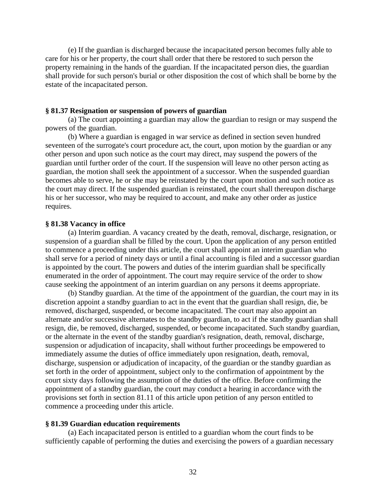(e) If the guardian is discharged because the incapacitated person becomes fully able to care for his or her property, the court shall order that there be restored to such person the property remaining in the hands of the guardian. If the incapacitated person dies, the guardian shall provide for such person's burial or other disposition the cost of which shall be borne by the estate of the incapacitated person.

### **§ 81.37 Resignation or suspension of powers of guardian**

 (a) The court appointing a guardian may allow the guardian to resign or may suspend the powers of the guardian.

 (b) Where a guardian is engaged in war service as defined in section seven hundred seventeen of the surrogate's court procedure act, the court, upon motion by the guardian or any other person and upon such notice as the court may direct, may suspend the powers of the guardian until further order of the court. If the suspension will leave no other person acting as guardian, the motion shall seek the appointment of a successor. When the suspended guardian becomes able to serve, he or she may be reinstated by the court upon motion and such notice as the court may direct. If the suspended guardian is reinstated, the court shall thereupon discharge his or her successor, who may be required to account, and make any other order as justice requires.

#### **§ 81.38 Vacancy in office**

 (a) Interim guardian. A vacancy created by the death, removal, discharge, resignation, or suspension of a guardian shall be filled by the court. Upon the application of any person entitled to commence a proceeding under this article, the court shall appoint an interim guardian who shall serve for a period of ninety days or until a final accounting is filed and a successor guardian is appointed by the court. The powers and duties of the interim guardian shall be specifically enumerated in the order of appointment. The court may require service of the order to show cause seeking the appointment of an interim guardian on any persons it deems appropriate.

 (b) Standby guardian. At the time of the appointment of the guardian, the court may in its discretion appoint a standby guardian to act in the event that the guardian shall resign, die, be removed, discharged, suspended, or become incapacitated. The court may also appoint an alternate and/or successive alternates to the standby guardian, to act if the standby guardian shall resign, die, be removed, discharged, suspended, or become incapacitated. Such standby guardian, or the alternate in the event of the standby guardian's resignation, death, removal, discharge, suspension or adjudication of incapacity, shall without further proceedings be empowered to immediately assume the duties of office immediately upon resignation, death, removal, discharge, suspension or adjudication of incapacity, of the guardian or the standby guardian as set forth in the order of appointment, subject only to the confirmation of appointment by the court sixty days following the assumption of the duties of the office. Before confirming the appointment of a standby guardian, the court may conduct a hearing in accordance with the provisions set forth in section 81.11 of this article upon petition of any person entitled to commence a proceeding under this article.

#### **§ 81.39 Guardian education requirements**

 (a) Each incapacitated person is entitled to a guardian whom the court finds to be sufficiently capable of performing the duties and exercising the powers of a guardian necessary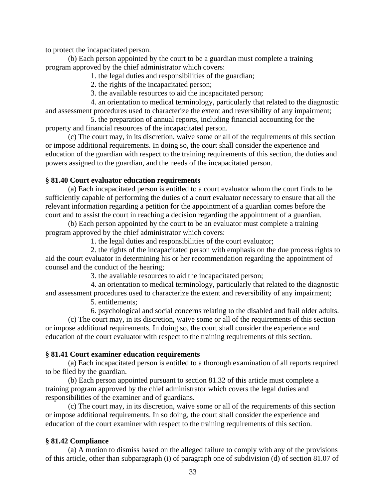to protect the incapacitated person.

 (b) Each person appointed by the court to be a guardian must complete a training program approved by the chief administrator which covers:

1. the legal duties and responsibilities of the guardian;

2. the rights of the incapacitated person;

3. the available resources to aid the incapacitated person;

 4. an orientation to medical terminology, particularly that related to the diagnostic and assessment procedures used to characterize the extent and reversibility of any impairment;

 5. the preparation of annual reports, including financial accounting for the property and financial resources of the incapacitated person.

 (c) The court may, in its discretion, waive some or all of the requirements of this section or impose additional requirements. In doing so, the court shall consider the experience and education of the guardian with respect to the training requirements of this section, the duties and powers assigned to the guardian, and the needs of the incapacitated person.

## **§ 81.40 Court evaluator education requirements**

 (a) Each incapacitated person is entitled to a court evaluator whom the court finds to be sufficiently capable of performing the duties of a court evaluator necessary to ensure that all the relevant information regarding a petition for the appointment of a guardian comes before the court and to assist the court in reaching a decision regarding the appointment of a guardian.

 (b) Each person appointed by the court to be an evaluator must complete a training program approved by the chief administrator which covers:

1. the legal duties and responsibilities of the court evaluator;

 2. the rights of the incapacitated person with emphasis on the due process rights to aid the court evaluator in determining his or her recommendation regarding the appointment of counsel and the conduct of the hearing;

3. the available resources to aid the incapacitated person;

 4. an orientation to medical terminology, particularly that related to the diagnostic and assessment procedures used to characterize the extent and reversibility of any impairment;

5. entitlements;

6. psychological and social concerns relating to the disabled and frail older adults.

 (c) The court may, in its discretion, waive some or all of the requirements of this section or impose additional requirements. In doing so, the court shall consider the experience and education of the court evaluator with respect to the training requirements of this section.

## **§ 81.41 Court examiner education requirements**

 (a) Each incapacitated person is entitled to a thorough examination of all reports required to be filed by the guardian.

 (b) Each person appointed pursuant to section 81.32 of this article must complete a training program approved by the chief administrator which covers the legal duties and responsibilities of the examiner and of guardians.

 (c) The court may, in its discretion, waive some or all of the requirements of this section or impose additional requirements. In so doing, the court shall consider the experience and education of the court examiner with respect to the training requirements of this section.

## **§ 81.42 Compliance**

 (a) A motion to dismiss based on the alleged failure to comply with any of the provisions of this article, other than subparagraph (i) of paragraph one of subdivision (d) of section 81.07 of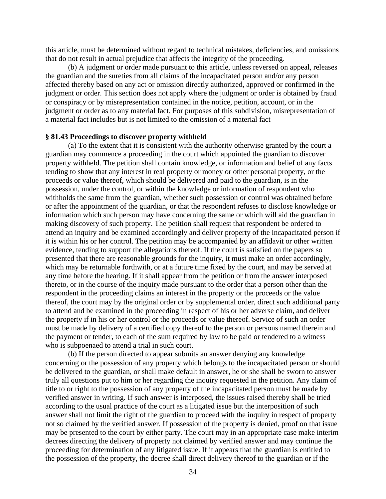this article, must be determined without regard to technical mistakes, deficiencies, and omissions that do not result in actual prejudice that affects the integrity of the proceeding.

 (b) A judgment or order made pursuant to this article, unless reversed on appeal, releases the guardian and the sureties from all claims of the incapacitated person and/or any person affected thereby based on any act or omission directly authorized, approved or confirmed in the judgment or order. This section does not apply where the judgment or order is obtained by fraud or conspiracy or by misrepresentation contained in the notice, petition, account, or in the judgment or order as to any material fact. For purposes of this subdivision, misrepresentation of a material fact includes but is not limited to the omission of a material fact

#### **§ 81.43 Proceedings to discover property withheld**

 (a) To the extent that it is consistent with the authority otherwise granted by the court a guardian may commence a proceeding in the court which appointed the guardian to discover property withheld. The petition shall contain knowledge, or information and belief of any facts tending to show that any interest in real property or money or other personal property, or the proceeds or value thereof, which should be delivered and paid to the guardian, is in the possession, under the control, or within the knowledge or information of respondent who withholds the same from the guardian, whether such possession or control was obtained before or after the appointment of the guardian, or that the respondent refuses to disclose knowledge or information which such person may have concerning the same or which will aid the guardian in making discovery of such property. The petition shall request that respondent be ordered to attend an inquiry and be examined accordingly and deliver property of the incapacitated person if it is within his or her control. The petition may be accompanied by an affidavit or other written evidence, tending to support the allegations thereof. If the court is satisfied on the papers so presented that there are reasonable grounds for the inquiry, it must make an order accordingly, which may be returnable forthwith, or at a future time fixed by the court, and may be served at any time before the hearing. If it shall appear from the petition or from the answer interposed thereto, or in the course of the inquiry made pursuant to the order that a person other than the respondent in the proceeding claims an interest in the property or the proceeds or the value thereof, the court may by the original order or by supplemental order, direct such additional party to attend and be examined in the proceeding in respect of his or her adverse claim, and deliver the property if in his or her control or the proceeds or value thereof. Service of such an order must be made by delivery of a certified copy thereof to the person or persons named therein and the payment or tender, to each of the sum required by law to be paid or tendered to a witness who is subpoenaed to attend a trial in such court.

 (b) If the person directed to appear submits an answer denying any knowledge concerning or the possession of any property which belongs to the incapacitated person or should be delivered to the guardian, or shall make default in answer, he or she shall be sworn to answer truly all questions put to him or her regarding the inquiry requested in the petition. Any claim of title to or right to the possession of any property of the incapacitated person must be made by verified answer in writing. If such answer is interposed, the issues raised thereby shall be tried according to the usual practice of the court as a litigated issue but the interposition of such answer shall not limit the right of the guardian to proceed with the inquiry in respect of property not so claimed by the verified answer. If possession of the property is denied, proof on that issue may be presented to the court by either party. The court may in an appropriate case make interim decrees directing the delivery of property not claimed by verified answer and may continue the proceeding for determination of any litigated issue. If it appears that the guardian is entitled to the possession of the property, the decree shall direct delivery thereof to the guardian or if the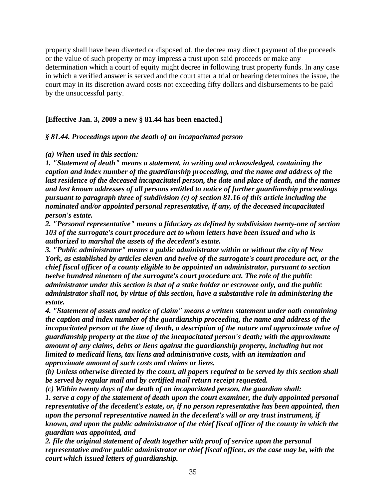property shall have been diverted or disposed of, the decree may direct payment of the proceeds or the value of such property or may impress a trust upon said proceeds or make any determination which a court of equity might decree in following trust property funds. In any case in which a verified answer is served and the court after a trial or hearing determines the issue, the court may in its discretion award costs not exceeding fifty dollars and disbursements to be paid by the unsuccessful party.

# **[Effective Jan. 3, 2009 a new § 81.44 has been enacted.]**

# *§ 81.44. Proceedings upon the death of an incapacitated person*

# *(a) When used in this section:*

*1. "Statement of death" means a statement, in writing and acknowledged, containing the caption and index number of the guardianship proceeding, and the name and address of the last residence of the deceased incapacitated person, the date and place of death, and the names and last known addresses of all persons entitled to notice of further guardianship proceedings pursuant to paragraph three of subdivision (c) of section 81.16 of this article including the nominated and/or appointed personal representative, if any, of the deceased incapacitated person's estate.* 

*2. "Personal representative" means a fiduciary as defined by subdivision twenty-one of section 103 of the surrogate's court procedure act to whom letters have been issued and who is authorized to marshal the assets of the decedent's estate.* 

*3. "Public administrator" means a public administrator within or without the city of New York, as established by articles eleven and twelve of the surrogate's court procedure act, or the chief fiscal officer of a county eligible to be appointed an administrator, pursuant to section twelve hundred nineteen of the surrogate's court procedure act. The role of the public administrator under this section is that of a stake holder or escrowee only, and the public administrator shall not, by virtue of this section, have a substantive role in administering the estate.* 

*4. "Statement of assets and notice of claim" means a written statement under oath containing the caption and index number of the guardianship proceeding, the name and address of the incapacitated person at the time of death, a description of the nature and approximate value of guardianship property at the time of the incapacitated person's death; with the approximate amount of any claims, debts or liens against the guardianship property, including but not limited to medicaid liens, tax liens and administrative costs, with an itemization and approximate amount of such costs and claims or liens.* 

*(b) Unless otherwise directed by the court, all papers required to be served by this section shall be served by regular mail and by certified mail return receipt requested.* 

*(c) Within twenty days of the death of an incapacitated person, the guardian shall:* 

*1. serve a copy of the statement of death upon the court examiner, the duly appointed personal representative of the decedent's estate, or, if no person representative has been appointed, then upon the personal representative named in the decedent's will or any trust instrument, if known, and upon the public administrator of the chief fiscal officer of the county in which the guardian was appointed, and* 

*2. file the original statement of death together with proof of service upon the personal representative and/or public administrator or chief fiscal officer, as the case may be, with the court which issued letters of guardianship.*